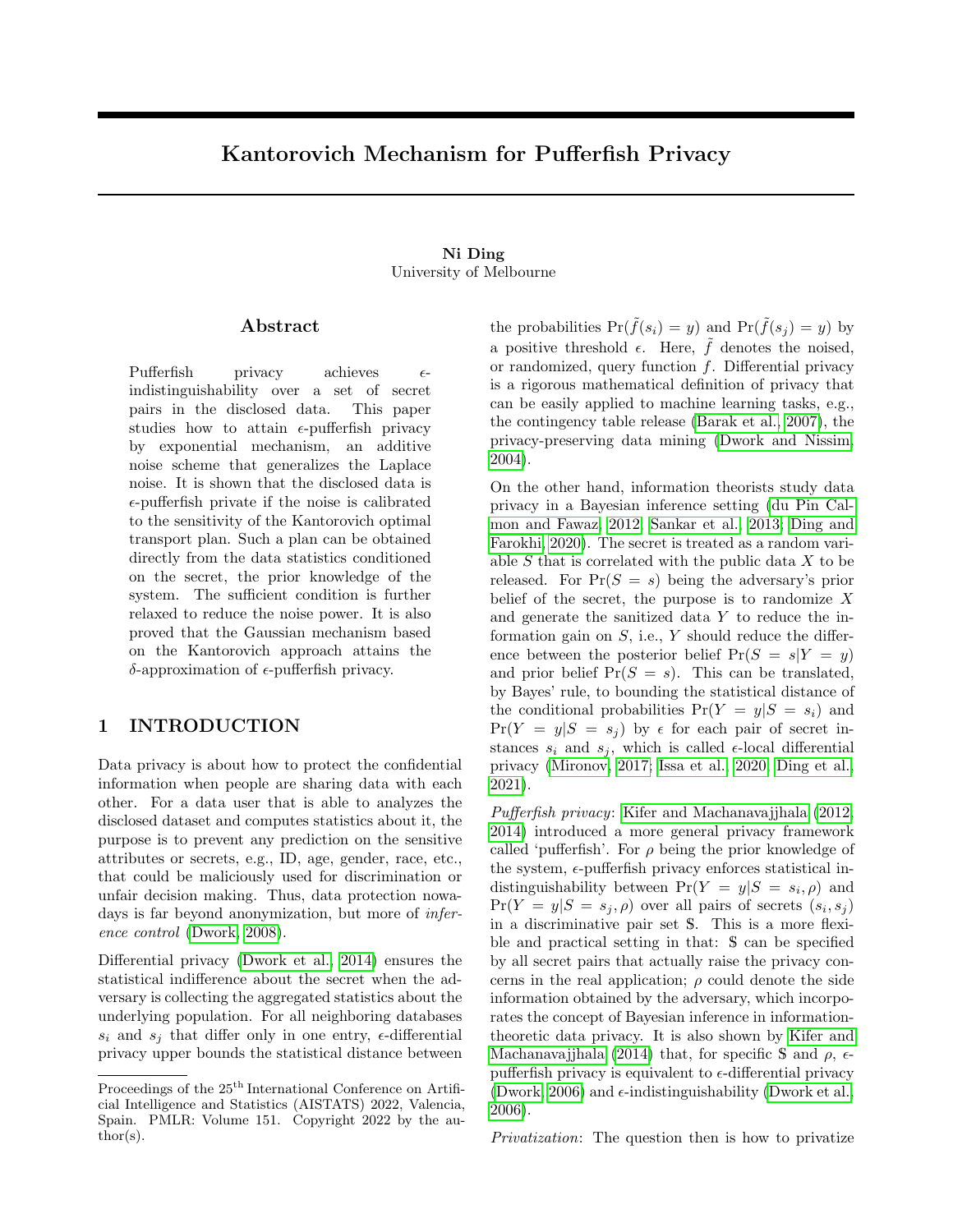# Kantorovich Mechanism for Pufferfish Privacy

### Ni Ding University of Melbourne

### Abstract

Pufferfish privacy achieves  $\epsilon$ indistinguishability over a set of secret pairs in the disclosed data. This paper studies how to attain  $\epsilon$ -pufferfish privacy by exponential mechanism, an additive noise scheme that generalizes the Laplace noise. It is shown that the disclosed data is  $\epsilon$ -pufferfish private if the noise is calibrated to the sensitivity of the Kantorovich optimal transport plan. Such a plan can be obtained directly from the data statistics conditioned on the secret, the prior knowledge of the system. The sufficient condition is further relaxed to reduce the noise power. It is also proved that the Gaussian mechanism based on the Kantorovich approach attains the  $δ$ -approximation of  $ε$ -pufferfish privacy.

### 1 INTRODUCTION

Data privacy is about how to protect the confidential information when people are sharing data with each other. For a data user that is able to analyzes the disclosed dataset and computes statistics about it, the purpose is to prevent any prediction on the sensitive attributes or secrets, e.g., ID, age, gender, race, etc., that could be maliciously used for discrimination or unfair decision making. Thus, data protection nowadays is far beyond anonymization, but more of *infer*ence control [\(Dwork, 2008\)](#page-8-0).

Differential privacy [\(Dwork et al., 2014\)](#page-9-0) ensures the statistical indifference about the secret when the adversary is collecting the aggregated statistics about the underlying population. For all neighboring databases  $s_i$  and  $s_j$  that differ only in one entry,  $\epsilon$ -differential privacy upper bounds the statistical distance between the probabilities  $Pr(\tilde{f}(s_i) = y)$  and  $Pr(\tilde{f}(s_i) = y)$  by a positive threshold  $\epsilon$ . Here,  $\hat{f}$  denotes the noised, or randomized, query function  $f$ . Differential privacy is a rigorous mathematical definition of privacy that can be easily applied to machine learning tasks, e.g., the contingency table release [\(Barak et al., 2007\)](#page-8-1), the privacy-preserving data mining [\(Dwork and Nissim,](#page-9-1) [2004\)](#page-9-1).

On the other hand, information theorists study data privacy in a Bayesian inference setting [\(du Pin Cal](#page-8-2)[mon and Fawaz, 2012;](#page-8-2) [Sankar et al., 2013;](#page-9-2) [Ding and](#page-8-3) [Farokhi, 2020\)](#page-8-3). The secret is treated as a random variable  $S$  that is correlated with the public data  $X$  to be released. For  $Pr(S = s)$  being the adversary's prior belief of the secret, the purpose is to randomize  $X$ and generate the sanitized data Y to reduce the information gain on  $S$ , i.e.,  $Y$  should reduce the difference between the posterior belief  $Pr(S = s|Y = y)$ and prior belief  $Pr(S = s)$ . This can be translated, by Bayes' rule, to bounding the statistical distance of the conditional probabilities  $Pr(Y = y | S = s_i)$  and  $Pr(Y = y | S = s_i)$  by  $\epsilon$  for each pair of secret instances  $s_i$  and  $s_j$ , which is called  $\epsilon$ -local differential privacy [\(Mironov, 2017;](#page-9-3) [Issa et al., 2020;](#page-9-4) [Ding et al.,](#page-8-4) [2021\)](#page-8-4).

Pufferfish privacy: [Kifer and Machanavajjhala \(2012,](#page-9-5) [2014\)](#page-9-6) introduced a more general privacy framework called 'pufferfish'. For  $\rho$  being the prior knowledge of the system,  $\epsilon$ -pufferfish privacy enforces statistical indistinguishability between  $Pr(Y = y | S = s_i, \rho)$  and  $Pr(Y = y | S = s_j, \rho)$  over all pairs of secrets  $(s_i, s_j)$ in a discriminative pair set S. This is a more flexible and practical setting in that: S can be specified by all secret pairs that actually raise the privacy concerns in the real application;  $\rho$  could denote the side information obtained by the adversary, which incorporates the concept of Bayesian inference in informationtheoretic data privacy. It is also shown by [Kifer and](#page-9-6) [Machanavajjhala \(2014\)](#page-9-6) that, for specific S and  $\rho$ ,  $\epsilon$ pufferfish privacy is equivalent to  $\epsilon$ -differential privacy [\(Dwork, 2006\)](#page-8-5) and  $\epsilon$ -indistinguishability [\(Dwork et al.,](#page-8-6) [2006\)](#page-8-6).

Privatization: The question then is how to privatize

Proceedings of the  $25<sup>th</sup>$  International Conference on Artificial Intelligence and Statistics (AISTATS) 2022, Valencia, Spain. PMLR: Volume 151. Copyright 2022 by the au- $\text{thor}(s)$ .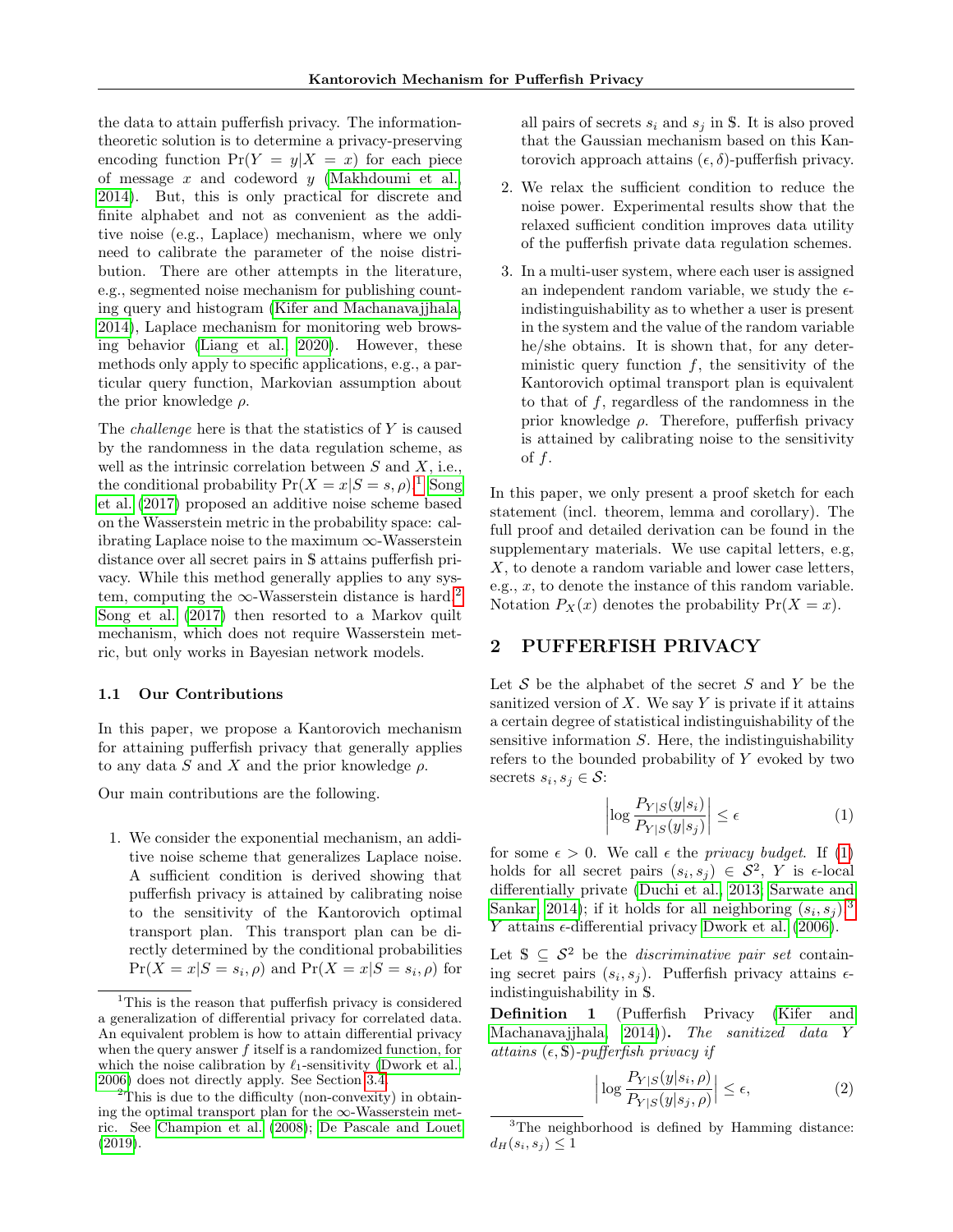the data to attain pufferfish privacy. The informationtheoretic solution is to determine a privacy-preserving encoding function  $Pr(Y = y | X = x)$  for each piece of message  $x$  and codeword  $y$  [\(Makhdoumi et al.,](#page-9-7) [2014\)](#page-9-7). But, this is only practical for discrete and finite alphabet and not as convenient as the additive noise (e.g., Laplace) mechanism, where we only need to calibrate the parameter of the noise distribution. There are other attempts in the literature, e.g., segmented noise mechanism for publishing counting query and histogram [\(Kifer and Machanavajjhala,](#page-9-6) [2014\)](#page-9-6), Laplace mechanism for monitoring web browsing behavior [\(Liang et al., 2020\)](#page-9-8). However, these methods only apply to specific applications, e.g., a particular query function, Markovian assumption about the prior knowledge  $\rho$ .

The challenge here is that the statistics of Y is caused by the randomness in the data regulation scheme, as well as the intrinsic correlation between  $S$  and  $X$ , i.e., the conditional probability  $Pr(X = x | S = s, \rho)$ .<sup>[1](#page-1-0)</sup> [Song](#page-9-9) [et al. \(2017\)](#page-9-9) proposed an additive noise scheme based on the Wasserstein metric in the probability space: calibrating Laplace noise to the maximum  $\infty$ -Wasserstein distance over all secret pairs in S attains pufferfish privacy. While this method generally applies to any system, computing the  $\infty$ -Wasserstein distance is hard.<sup>[2](#page-1-1)</sup> [Song et al. \(2017\)](#page-9-9) then resorted to a Markov quilt mechanism, which does not require Wasserstein metric, but only works in Bayesian network models.

#### 1.1 Our Contributions

In this paper, we propose a Kantorovich mechanism for attaining pufferfish privacy that generally applies to any data S and X and the prior knowledge  $\rho$ .

Our main contributions are the following.

1. We consider the exponential mechanism, an additive noise scheme that generalizes Laplace noise. A sufficient condition is derived showing that pufferfish privacy is attained by calibrating noise to the sensitivity of the Kantorovich optimal transport plan. This transport plan can be directly determined by the conditional probabilities  $Pr(X = x | S = s_i, \rho)$  and  $Pr(X = x | S = s_i, \rho)$  for

all pairs of secrets  $s_i$  and  $s_j$  in S. It is also proved that the Gaussian mechanism based on this Kantorovich approach attains  $(\epsilon, \delta)$ -pufferfish privacy.

- 2. We relax the sufficient condition to reduce the noise power. Experimental results show that the relaxed sufficient condition improves data utility of the pufferfish private data regulation schemes.
- 3. In a multi-user system, where each user is assigned an independent random variable, we study the  $\epsilon$ indistinguishability as to whether a user is present in the system and the value of the random variable he/she obtains. It is shown that, for any deterministic query function  $f$ , the sensitivity of the Kantorovich optimal transport plan is equivalent to that of f, regardless of the randomness in the prior knowledge  $\rho$ . Therefore, pufferfish privacy is attained by calibrating noise to the sensitivity of  $f$ .

In this paper, we only present a proof sketch for each statement (incl. theorem, lemma and corollary). The full proof and detailed derivation can be found in the supplementary materials. We use capital letters, e.g, X, to denote a random variable and lower case letters, e.g.,  $x$ , to denote the instance of this random variable. Notation  $P_X(x)$  denotes the probability  $Pr(X = x)$ .

### 2 PUFFERFISH PRIVACY

Let  $S$  be the alphabet of the secret  $S$  and  $Y$  be the sanitized version of  $X$ . We say  $Y$  is private if it attains a certain degree of statistical indistinguishability of the sensitive information  $S$ . Here, the indistinguishability refers to the bounded probability of Y evoked by two secrets  $s_i, s_j \in \mathcal{S}$ :

<span id="page-1-2"></span>
$$
\left| \log \frac{P_{Y|S}(y|s_i)}{P_{Y|S}(y|s_j)} \right| \le \epsilon \tag{1}
$$

for some  $\epsilon > 0$ . We call  $\epsilon$  the *privacy budget*. If [\(1\)](#page-1-2) holds for all secret pairs  $(s_i, s_j) \in S^2$ , Y is  $\epsilon$ -local differentially private [\(Duchi et al., 2013;](#page-8-9) [Sarwate and](#page-9-10) [Sankar, 2014\)](#page-9-10); if it holds for all neighboring  $(s_i, s_j)$ ,<sup>[3](#page-1-3)</sup> Y attains  $\epsilon$ -differential privacy [Dwork et al. \(2006\)](#page-8-6).

Let  $\mathbb{S} \subseteq \mathcal{S}^2$  be the *discriminative pair set* containing secret pairs  $(s_i, s_j)$ . Pufferfish privacy attains  $\epsilon$ indistinguishability in S.

Definition 1 (Pufferfish Privacy [\(Kifer and](#page-9-6) [Machanavajjhala, 2014\)](#page-9-6)). The sanitized data Y attains  $(\epsilon, \mathbb{S})$ -pufferfish privacy if

<span id="page-1-4"></span>
$$
\left| \log \frac{P_{Y|S}(y|s_i, \rho)}{P_{Y|S}(y|s_j, \rho)} \right| \le \epsilon,
$$
\n(2)

<span id="page-1-3"></span><sup>3</sup>The neighborhood is defined by Hamming distance:  $d_H(s_i, s_j) \leq 1$ 

<span id="page-1-0"></span><sup>&</sup>lt;sup>1</sup>This is the reason that pufferfish privacy is considered a generalization of differential privacy for correlated data. An equivalent problem is how to attain differential privacy when the query answer  $f$  itself is a randomized function, for which the noise calibration by  $\ell_1$ -sensitivity [\(Dwork et al.,](#page-8-6) [2006\)](#page-8-6) does not directly apply. See Section [3.4.](#page-4-0)

<span id="page-1-1"></span><sup>2</sup>This is due to the difficulty (non-convexity) in obtaining the optimal transport plan for the  $\infty$ -Wasserstein metric. See [Champion et al.](#page-8-7) [\(2008\)](#page-8-7); [De Pascale and Louet](#page-8-8) [\(2019\)](#page-8-8).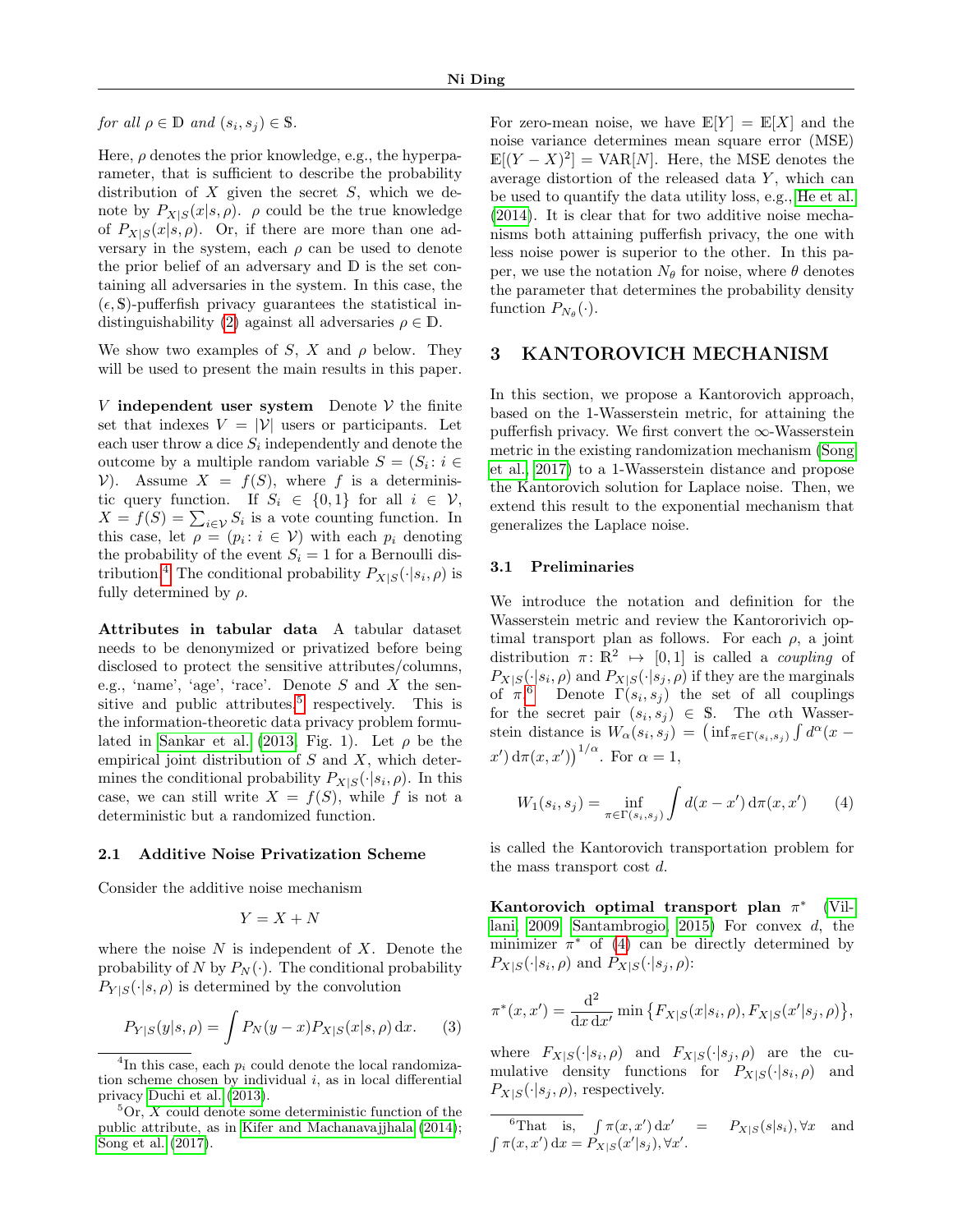for all  $\rho \in \mathbb{D}$  and  $(s_i, s_j) \in \mathbb{S}$ .

Here,  $\rho$  denotes the prior knowledge, e.g., the hyperparameter, that is sufficient to describe the probability distribution of  $X$  given the secret  $S$ , which we denote by  $P_{X|S}(x|s,\rho)$ .  $\rho$  could be the true knowledge of  $P_{X|S}(x|s, \rho)$ . Or, if there are more than one adversary in the system, each  $\rho$  can be used to denote the prior belief of an adversary and D is the set containing all adversaries in the system. In this case, the  $(\epsilon, S)$ -pufferfish privacy guarantees the statistical in-distinguishability [\(2\)](#page-1-4) against all adversaries  $\rho \in \mathbb{D}$ .

We show two examples of S, X and  $\rho$  below. They will be used to present the main results in this paper.

V independent user system Denote  $V$  the finite set that indexes  $V = |V|$  users or participants. Let each user throw a dice  $S_i$  independently and denote the outcome by a multiple random variable  $S = (S_i : i \in$ V). Assume  $X = f(S)$ , where f is a deterministic query function. If  $S_i \in \{0,1\}$  for all  $i \in \mathcal{V}$ ,  $X = f(S) = \sum_{i \in \mathcal{V}} S_i$  is a vote counting function. In this case, let  $\rho = (p_i : i \in V)$  with each  $p_i$  denoting the probability of the event  $S_i = 1$  for a Bernoulli dis-tribution.<sup>[4](#page-2-0)</sup> The conditional probability  $P_{X|S}(\cdot|s_i,\rho)$  is fully determined by  $\rho$ .

Attributes in tabular data A tabular dataset needs to be denonymized or privatized before being disclosed to protect the sensitive attributes/columns, e.g., 'name', 'age', 'race'. Denote  $S$  and  $X$  the sen-sitive and public attributes,<sup>[5](#page-2-1)</sup> respectively. This is the information-theoretic data privacy problem formu-lated in [Sankar et al. \(2013,](#page-9-2) Fig. 1). Let  $\rho$  be the empirical joint distribution of  $S$  and  $X$ , which determines the conditional probability  $P_{X|S}(\cdot|s_i,\rho)$ . In this case, we can still write  $X = f(S)$ , while f is not a deterministic but a randomized function.

#### 2.1 Additive Noise Privatization Scheme

Consider the additive noise mechanism

$$
Y = X + N
$$

where the noise  $N$  is independent of  $X$ . Denote the probability of N by  $P_N(\cdot)$ . The conditional probability  $P_{Y|S}(\cdot|s,\rho)$  is determined by the convolution

$$
P_{Y|S}(y|s,\rho) = \int P_N(y-x) P_{X|S}(x|s,\rho) \, \mathrm{d}x. \tag{3}
$$

For zero-mean noise, we have  $\mathbb{E}[Y] = \mathbb{E}[X]$  and the noise variance determines mean square error (MSE)  $\mathbb{E}[(Y - X)^2] = \text{VAR}[N]$ . Here, the MSE denotes the average distortion of the released data  $Y$ , which can be used to quantify the data utility loss, e.g., [He et al.](#page-9-11) [\(2014\)](#page-9-11). It is clear that for two additive noise mechanisms both attaining pufferfish privacy, the one with less noise power is superior to the other. In this paper, we use the notation  $N_{\theta}$  for noise, where  $\theta$  denotes the parameter that determines the probability density function  $P_{N_{\theta}}(\cdot)$ .

## 3 KANTOROVICH MECHANISM

In this section, we propose a Kantorovich approach, based on the 1-Wasserstein metric, for attaining the pufferfish privacy. We first convert the  $\infty$ -Wasserstein metric in the existing randomization mechanism [\(Song](#page-9-9) [et al., 2017\)](#page-9-9) to a 1-Wasserstein distance and propose the Kantorovich solution for Laplace noise. Then, we extend this result to the exponential mechanism that generalizes the Laplace noise.

### 3.1 Preliminaries

We introduce the notation and definition for the Wasserstein metric and review the Kantororivich optimal transport plan as follows. For each  $\rho$ , a joint distribution  $\pi: \mathbb{R}^2 \mapsto [0, 1]$  is called a *coupling* of  $P_{X|S}(\cdot|s_i, \rho)$  and  $P_{X|S}(\cdot|s_j, \rho)$  if they are the marginals of  $\pi$ <sup>[6](#page-2-2)</sup> Denote  $\Gamma(s_i, s_j)$  the set of all couplings for the secret pair  $(s_i, s_j) \in S$ . The  $\alpha$ th Wasserstein distance is  $W_{\alpha}(s_i, s_j) = (\inf_{\pi \in \Gamma(s_i, s_j)} \int d^{\alpha} (x (x') d\pi(x, x')$ <sup> $1/\alpha$ </sup>. For  $\alpha = 1$ ,

<span id="page-2-3"></span>
$$
W_1(s_i, s_j) = \inf_{\pi \in \Gamma(s_i, s_j)} \int d(x - x') d\pi(x, x') \qquad (4)
$$

is called the Kantorovich transportation problem for the mass transport cost d.

Kantorovich optimal transport plan  $\pi^*$  [\(Vil](#page-9-12)[lani, 2009;](#page-9-12) [Santambrogio, 2015\)](#page-9-13) For convex d, the minimizer  $\pi^*$  of [\(4\)](#page-2-3) can be directly determined by  $P_{X|S}(\cdot|s_i, \rho)$  and  $P_{X|S}(\cdot|s_j, \rho)$ :

$$
\pi^*(x, x') = \frac{\mathrm{d}^2}{\mathrm{d}x \, \mathrm{d}x'} \min \big\{ F_{X|S}(x|s_i, \rho), F_{X|S}(x'|s_j, \rho) \big\},\,
$$

where  $F_{X|S}(\cdot|s_i,\rho)$  and  $F_{X|S}(\cdot|s_j,\rho)$  are the cumulative density functions for  $P_{X|S}(\cdot|s_i,\rho)$  and  $P_{X|S}(\cdot|s_i, \rho)$ , respectively.

<span id="page-2-0"></span><sup>&</sup>lt;sup>4</sup>In this case, each  $p_i$  could denote the local randomization scheme chosen by individual  $i$ , as in local differential privacy [Duchi et al.](#page-8-9) [\(2013\)](#page-8-9).

<span id="page-2-1"></span> ${}^{5}$ Or, X could denote some deterministic function of the public attribute, as in [Kifer and Machanavajjhala](#page-9-6) [\(2014\)](#page-9-6); [Song et al.](#page-9-9) [\(2017\)](#page-9-9).

<span id="page-2-2"></span><sup>&</sup>lt;sup>6</sup>That is,  $\int \pi(x, x') dx' = P_{X|S}(s|s_i), \forall x$  and  $\int \pi(x, x') dx = P_{X|S}(x'|s_j), \forall x'.$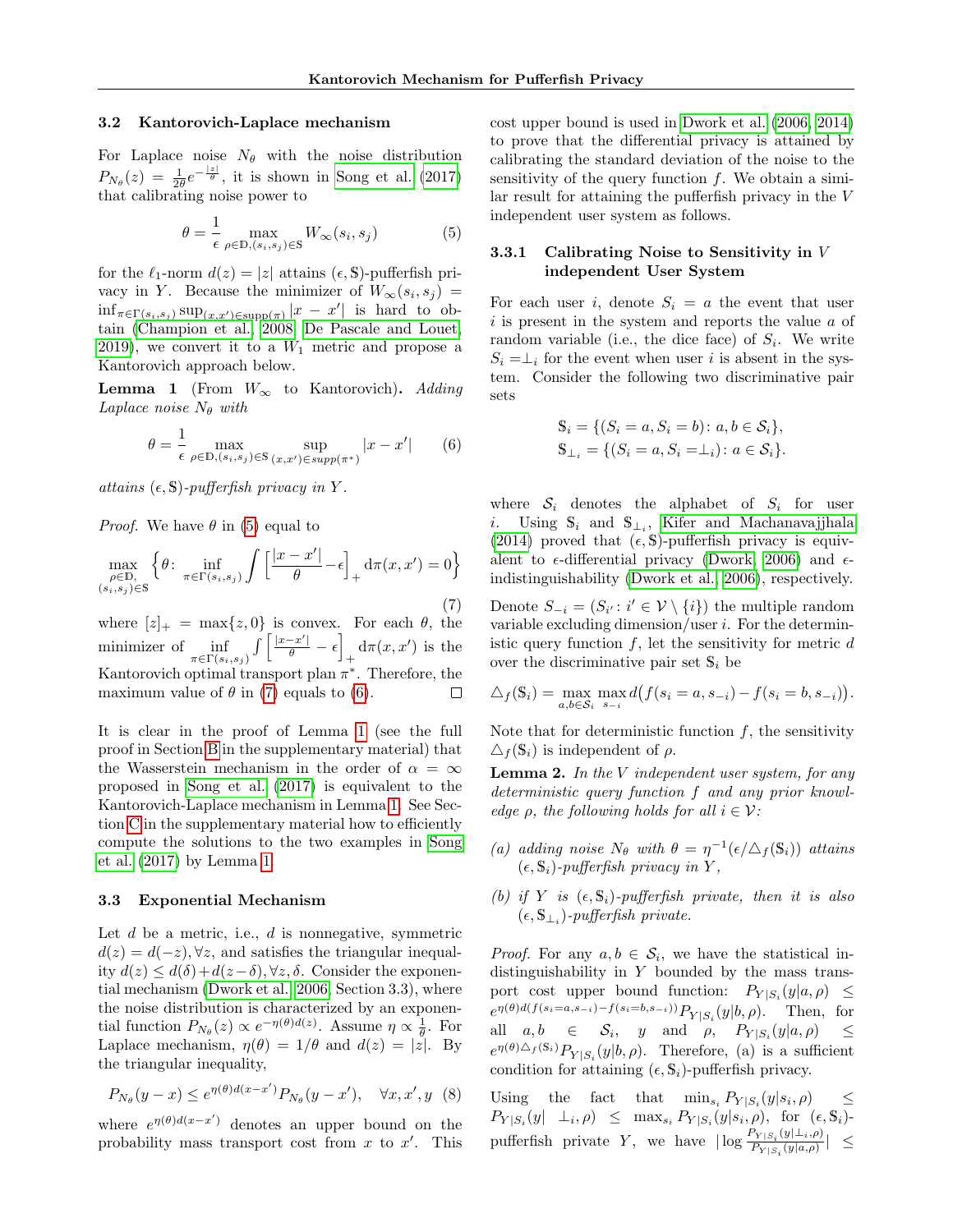#### 3.2 Kantorovich-Laplace mechanism

For Laplace noise  $N_{\theta}$  with the noise distribution  $P_{N_{\theta}}(z) = \frac{1}{2\theta}e^{-\frac{|z|}{\theta}},$  it is shown in [Song et al. \(2017\)](#page-9-9) that calibrating noise power to

<span id="page-3-0"></span>
$$
\theta = \frac{1}{\epsilon} \max_{\rho \in \mathbb{D}, (s_i, s_j) \in \mathbb{S}} W_{\infty}(s_i, s_j)
$$
(5)

for the  $\ell_1$ -norm  $d(z) = |z|$  attains  $(\epsilon, S)$ -pufferfish privacy in Y. Because the minimizer of  $W_{\infty}(s_i, s_j) =$  $\inf_{\pi \in \Gamma(s_i, s_j)} \sup_{(x, x') \in \text{supp}(\pi)} |x - x'|$  is hard to obtain [\(Champion et al., 2008;](#page-8-7) [De Pascale and Louet,](#page-8-8) [2019\)](#page-8-8), we convert it to a  $W_1$  metric and propose a Kantorovich approach below.

<span id="page-3-3"></span>**Lemma 1** (From  $W_{\infty}$  to Kantorovich). Adding Laplace noise  $N_{\theta}$  with

<span id="page-3-2"></span>
$$
\theta = \frac{1}{\epsilon} \max_{\rho \in \mathbb{D}, (s_i, s_j) \in \mathbb{S}} \sup_{(x, x') \in \text{supp}(\pi^*)} |x - x'| \qquad (6)
$$

attains  $(\epsilon, \mathbb{S})$ -pufferfish privacy in Y.

*Proof.* We have  $\theta$  in [\(5\)](#page-3-0) equal to

<span id="page-3-1"></span>
$$
\max_{\substack{\rho \in \mathbb{D}, \\ (s_i, s_j) \in \mathbb{S}}} \left\{ \theta \colon \inf_{\pi \in \Gamma(s_i, s_j)} \int \left[ \frac{|x - x'|}{\theta} - \epsilon \right]_+ \mathrm{d}\pi(x, x') = 0 \right\} \tag{7}
$$

where  $[z]_+$  = max $\{z, 0\}$  is convex. For each  $\theta$ , the  $\int \left[ \frac{|x-x'|}{\theta} - \epsilon \right]$ minimizer of <u>inf</u>  $+\frac{d\pi(x,x')}{dt}$  is the  $\pi{\in}\Gamma(s_i,s_j)$ Kantorovich optimal transport plan  $\pi^*$ . Therefore, the maximum value of  $\theta$  in [\(7\)](#page-3-1) equals to [\(6\)](#page-3-2).  $\Box$ 

It is clear in the proof of Lemma [1](#page-3-3) (see the full proof in Section [B](#page-11-0) in the supplementary material) that the Wasserstein mechanism in the order of  $\alpha = \infty$ proposed in [Song et al. \(2017\)](#page-9-9) is equivalent to the Kantorovich-Laplace mechanism in Lemma [1.](#page-3-3) See Section [C](#page-12-0) in the supplementary material how to efficiently compute the solutions to the two examples in [Song](#page-9-9) [et al. \(2017\)](#page-9-9) by Lemma [1.](#page-3-3)

### 3.3 Exponential Mechanism

Let  $d$  be a metric, i.e.,  $d$  is nonnegative, symmetric  $d(z) = d(-z)$ ,  $\forall z$ , and satisfies the triangular inequality  $d(z) \leq d(\delta) + d(z-\delta)$ ,  $\forall z, \delta$ . Consider the exponential mechanism [\(Dwork et al., 2006,](#page-8-6) Section 3.3), where the noise distribution is characterized by an exponential function  $P_{N_{\theta}}(z) \propto e^{-\eta(\theta)d(z)}$ . Assume  $\eta \propto \frac{1}{\theta}$ . For Laplace mechanism,  $\eta(\theta) = 1/\theta$  and  $d(z) = |\dot{z}|$ . By the triangular inequality,

$$
P_{N_{\theta}}(y-x) \le e^{\eta(\theta)d(x-x')}P_{N_{\theta}}(y-x'), \quad \forall x, x', y \tag{8}
$$

where  $e^{\eta(\theta)d(x-x')}$  denotes an upper bound on the probability mass transport cost from  $x$  to  $x'$ . This cost upper bound is used in [Dwork et al. \(2006,](#page-8-6) [2014\)](#page-9-0) to prove that the differential privacy is attained by calibrating the standard deviation of the noise to the sensitivity of the query function  $f$ . We obtain a similar result for attaining the pufferfish privacy in the V independent user system as follows.

#### 3.3.1 Calibrating Noise to Sensitivity in V independent User System

For each user i, denote  $S_i = a$  the event that user  $i$  is present in the system and reports the value  $a$  of random variable (i.e., the dice face) of  $S_i$ . We write  $S_i = \perp_i$  for the event when user i is absent in the system. Consider the following two discriminative pair sets

$$
S_i = \{ (S_i = a, S_i = b) : a, b \in S_i \},
$$
  
\n
$$
S_{\perp_i} = \{ (S_i = a, S_i = \perp_i) : a \in S_i \}.
$$

where  $S_i$  denotes the alphabet of  $S_i$  for user i. Using  $\mathbb{S}_i$  and  $\mathbb{S}_{\perp_i}$ , [Kifer and Machanavajjhala](#page-9-6) [\(2014\)](#page-9-6) proved that  $(\epsilon, \mathbb{S})$ -pufferfish privacy is equivalent to  $\epsilon$ -differential privacy [\(Dwork, 2006\)](#page-8-5) and  $\epsilon$ indistinguishability [\(Dwork et al., 2006\)](#page-8-6), respectively.

Denote  $S_{-i} = (S_{i'} : i' \in \mathcal{V} \setminus \{i\})$  the multiple random variable excluding dimension/user  $i$ . For the deterministic query function  $f$ , let the sensitivity for metric  $d$ over the discriminative pair set  $\mathbb{S}_i$  be

$$
\Delta_f(\mathbf{S}_i) = \max_{a,b \in \mathcal{S}_i} \max_{s_{-i}} d(f(s_i = a, s_{-i}) - f(s_i = b, s_{-i})).
$$

Note that for deterministic function  $f$ , the sensitivity  $\Delta_f(\mathbb{S}_i)$  is independent of  $\rho$ .

<span id="page-3-4"></span>**Lemma 2.** In the V independent user system, for any deterministic query function f and any prior knowledge  $\rho$ , the following holds for all  $i \in \mathcal{V}$ :

- (a) adding noise  $N_{\theta}$  with  $\theta = \eta^{-1}(\epsilon/\Delta_f(\mathbb{S}_i))$  attains  $(\epsilon, \mathbb{S}_i)$ -pufferfish privacy in Y,
- (b) if Y is  $(\epsilon, \mathbb{S}_i)$ -pufferfish private, then it is also  $(\epsilon, \mathbb{S}_{\perp_i})$ -pufferfish private.

*Proof.* For any  $a, b \in S_i$ , we have the statistical indistinguishability in Y bounded by the mass transport cost upper bound function:  $P_{Y|S_i}(y|a,\rho) \leq$  $e^{\eta(\theta)d(f(s_i=a,s_{-i})-f(s_i=b,s_{-i}))}P_{Y|S_i}(y|b,\rho).$  Then, for all  $a, b \in S_i$ , y and  $\rho$ ,  $P_{Y|S_i}(y|a, \rho) \leq$  $e^{\eta(\theta)\Delta_f(\mathbf{S}_i)}P_{Y|S_i}(y|b,\rho)$ . Therefore, (a) is a sufficient condition for attaining  $(\epsilon, \mathbb{S}_i)$ -pufferfish privacy.

Using the fact that  $\min_{s_i} P_{Y|S_i}(y|s_i,\rho) \leq$  $P_{Y|S_i}(y|\perp_i,\rho) \leq \max_{s_i} P_{Y|S_i}(y|s_i,\rho)$ , for  $(\epsilon, \mathbb{S}_i)$ pufferfish private Y, we have  $|\log \frac{P_{Y|S_i}(y|\perp_{i}, \rho)}{P_{Y|S_i}(y|a, \rho)}\rangle$  $\frac{1}{P_{Y|S_i}(y|a,\rho)}$ |  $\leq$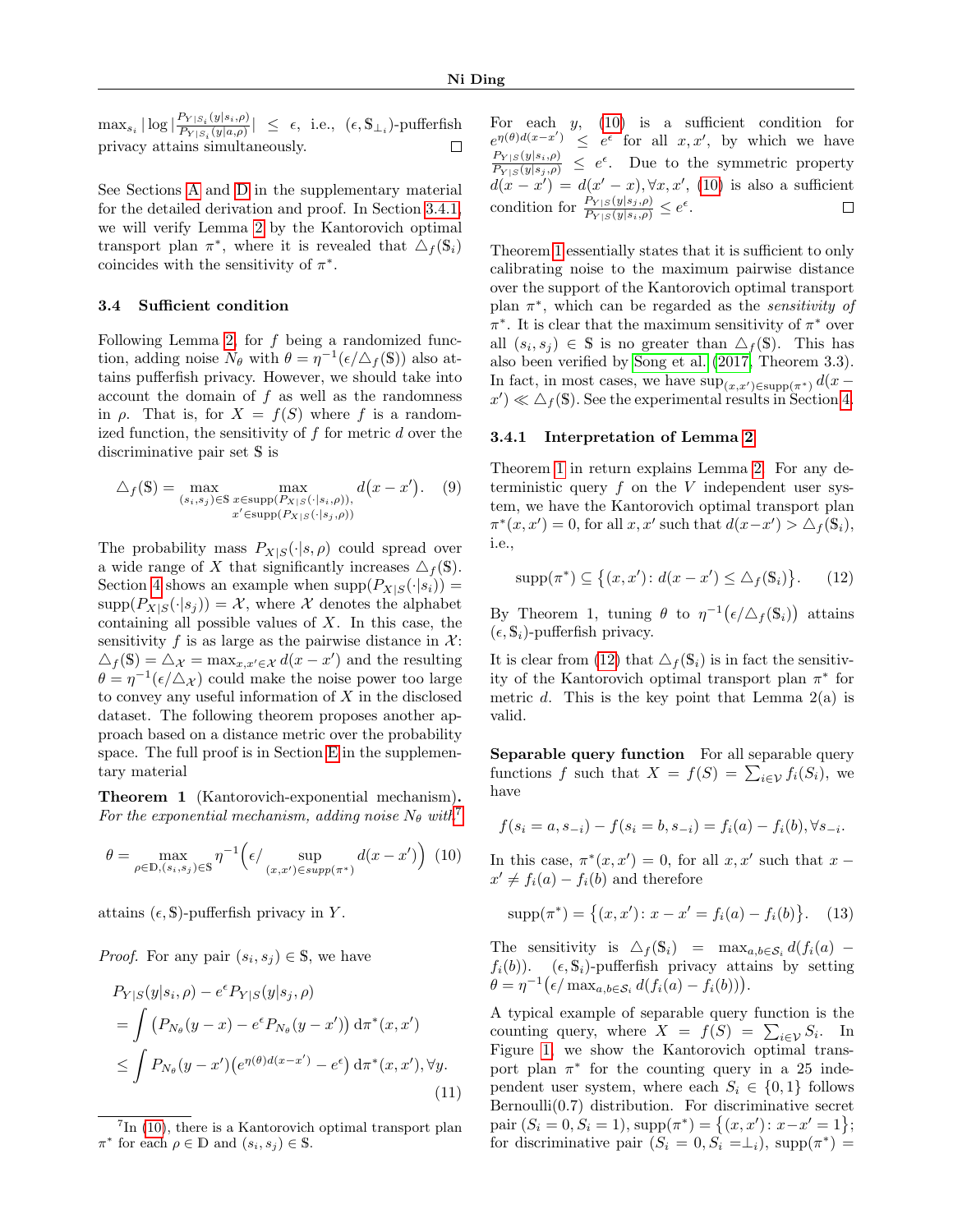$\max_{s_i} |\log|\frac{P_{Y|S_i}(y|s_i,\rho)}{P_{Y|S_i}(y|a,\rho)}$  $\frac{P_{Y|S_i}(y|s_i,\rho)}{P_{Y|S_i}(y|a,\rho)}$  |  $\leq \epsilon$ , i.e.,  $(\epsilon, \mathbb{S}_{\perp_i})$ -pufferfish privacy attains simultaneously.  $\Box$ 

See Sections [A](#page-10-0) and [D](#page-13-0) in the supplementary material for the detailed derivation and proof. In Section [3.4.1,](#page-4-1) we will verify Lemma [2](#page-3-4) by the Kantorovich optimal transport plan  $\pi^*$ , where it is revealed that  $\Delta_f(\mathbb{S}_i)$ coincides with the sensitivity of  $\pi^*$ .

#### <span id="page-4-0"></span>3.4 Sufficient condition

Following Lemma [2,](#page-3-4) for  $f$  being a randomized function, adding noise  $N_{\theta}$  with  $\theta = \eta^{-1}(\epsilon/\Delta_f(\mathbb{S}))$  also attains pufferfish privacy. However, we should take into account the domain of  $f$  as well as the randomness in  $\rho$ . That is, for  $X = f(S)$  where f is a randomized function, the sensitivity of  $f$  for metric  $d$  over the discriminative pair set S is

$$
\triangle_f(\mathbb{S}) = \max_{(s_i, s_j) \in \mathbb{S}} \max_{\substack{x \in \text{supp}(P_{X|S}(\cdot|s_i, \rho)),\\x' \in \text{supp}(P_{X|S}(\cdot|s_j, \rho))}} d(x - x'). \quad (9)
$$

The probability mass  $P_{X|S}(\cdot|s,\rho)$  could spread over a wide range of X that significantly increases  $\triangle_f(\mathbb{S})$ . Section [4](#page-6-0) shows an example when  $supp(P_{X|S}(\cdot|s_i)) =$  $\text{supp}(P_{X|S}(\cdot|s_j)) = \mathcal{X}$ , where  $\mathcal X$  denotes the alphabet containing all possible values of  $X$ . In this case, the sensitivity f is as large as the pairwise distance in  $\mathcal{X}$ :  $\Delta_f(\mathbb{S}) = \Delta_{\mathcal{X}} = \max_{x, x' \in \mathcal{X}} d(x - x')$  and the resulting  $\theta = \eta^{-1}(\epsilon/\Delta_{\mathcal{X}})$  could make the noise power too large to convey any useful information of X in the disclosed dataset. The following theorem proposes another approach based on a distance metric over the probability space. The full proof is in Section [E](#page-14-0) in the supplementary material

<span id="page-4-4"></span>Theorem 1 (Kantorovich-exponential mechanism). For the exponential mechanism, adding noise  $N_{\theta}$  with<sup>[7](#page-4-2)</sup>

<span id="page-4-3"></span>
$$
\theta = \max_{\rho \in \mathbb{D}, (s_i, s_j) \in \mathbb{S}} \eta^{-1} \left( \epsilon / \sup_{(x, x') \in \text{supp}(\pi^*)} d(x - x') \right) (10)
$$

attains  $(\epsilon, \mathbb{S})$ -pufferfish privacy in Y.

*Proof.* For any pair  $(s_i, s_j) \in \mathbb{S}$ , we have

$$
P_{Y|S}(y|s_i, \rho) - e^{\epsilon} P_{Y|S}(y|s_j, \rho)
$$
  
= 
$$
\int (P_{N_{\theta}}(y-x) - e^{\epsilon} P_{N_{\theta}}(y-x')) d\pi^*(x, x')
$$
  

$$
\leq \int P_{N_{\theta}}(y-x') (e^{\eta(\theta)d(x-x')} - e^{\epsilon}) d\pi^*(x, x'), \forall y.
$$
 (11)

For each  $y$ , [\(10\)](#page-4-3) is a sufficient condition for  $e^{\eta(\theta)d(x-x')} \leq e^{\epsilon}$  for all  $x, x'$ , by which we have  $\frac{P_{Y|S}(y|s_i,\rho)}{P_{Y|S}(y|s_j,\rho)} \leq e^{\epsilon}$ . Due to the symmetric property  $d(x-x') = d(x'-x), \forall x, x', (10)$  $d(x-x') = d(x'-x), \forall x, x', (10)$  is also a sufficient condition for  $\frac{P_{Y|S}(y|s_j,\rho)}{P_{Y|S}(y|s_i,\rho)} \leq e^{\epsilon}$ .  $\Box$ 

Theorem [1](#page-4-4) essentially states that it is sufficient to only calibrating noise to the maximum pairwise distance over the support of the Kantorovich optimal transport plan  $\pi^*$ , which can be regarded as the *sensitivity of*  $\pi^*$ . It is clear that the maximum sensitivity of  $\pi^*$  over all  $(s_i, s_j) \in \mathbb{S}$  is no greater than  $\Delta_f(\mathbb{S})$ . This has also been verified by [Song et al. \(2017,](#page-9-9) Theorem 3.3). In fact, in most cases, we have  $\sup_{(x,x')\in \text{supp}(\pi^*)} d(x$  $x'$   $\ll$   $\Delta_f$ (S). See the experimental results in Section [4.](#page-6-0)

#### <span id="page-4-1"></span>3.4.1 Interpretation of Lemma [2](#page-3-4)

Theorem [1](#page-4-4) in return explains Lemma [2.](#page-3-4) For any deterministic query  $f$  on the  $V$  independent user system, we have the Kantorovich optimal transport plan  $\pi^*(x, x') = 0$ , for all  $x, x'$  such that  $d(x - x') > \Delta_f(\mathbb{S}_i)$ , i.e.,

<span id="page-4-5"></span>
$$
\operatorname{supp}(\pi^*) \subseteq \left\{ (x, x') : d(x - x') \le \Delta_f(\mathbb{S}_i) \right\}. \tag{12}
$$

By Theorem 1, tuning  $\theta$  to  $\eta^{-1}(\epsilon/\Delta_f(\mathbb{S}_i))$  attains  $(\epsilon, \mathbb{S}_i)$ -pufferfish privacy.

It is clear from [\(12\)](#page-4-5) that  $\Delta_f(\mathbb{S}_i)$  is in fact the sensitivity of the Kantorovich optimal transport plan  $\pi^*$  for metric d. This is the key point that Lemma  $2(a)$  is valid.

Separable query function For all separable query functions f such that  $X = f(S) = \sum_{i \in \mathcal{V}} f_i(S_i)$ , we have

$$
f(s_i = a, s_{-i}) - f(s_i = b, s_{-i}) = f_i(a) - f_i(b), \forall s_{-i}.
$$

In this case,  $\pi^*(x, x') = 0$ , for all  $x, x'$  such that  $x$  $x' \neq f_i(a) - f_i(b)$  and therefore

<span id="page-4-6"></span>
$$
supp(\pi^*) = \{(x, x') : x - x' = f_i(a) - f_i(b)\}.
$$
 (13)

The sensitivity is  $\Delta_f(\mathbb{S}_i)$  =  $\max_{a,b \in \mathcal{S}_i} d(f_i(a))$  –  $f_i(b)$ ). ( $\epsilon$ ,  $\mathbb{S}_i$ )-pufferfish privacy attains by setting  $\theta = \eta^{-1} (\epsilon / \max_{a,b \in S_i} d(f_i(a) - f_i(b))).$ 

<span id="page-4-7"></span>A typical example of separable query function is the counting query, where  $X = f(S) = \sum_{i \in \mathcal{V}} S_i$ . In Figure [1,](#page-5-0) we show the Kantorovich optimal transport plan  $\pi^*$  for the counting query in a 25 independent user system, where each  $S_i \in \{0,1\}$  follows Bernoulli $(0.7)$  distribution. For discriminative secret pair  $(S_i = 0, S_i = 1), \text{supp}(\pi^*) = \{(x, x') : x - x' = 1\};$ for discriminative pair  $(S_i = 0, S_i = \perp_i)$ , supp $(\pi^*)$ 

<span id="page-4-2"></span><sup>&</sup>lt;sup>7</sup>In [\(10\)](#page-4-3), there is a Kantorovich optimal transport plan  $\pi^*$  for each  $\rho \in \mathbb{D}$  and  $(s_i, s_j) \in \mathbb{S}$ .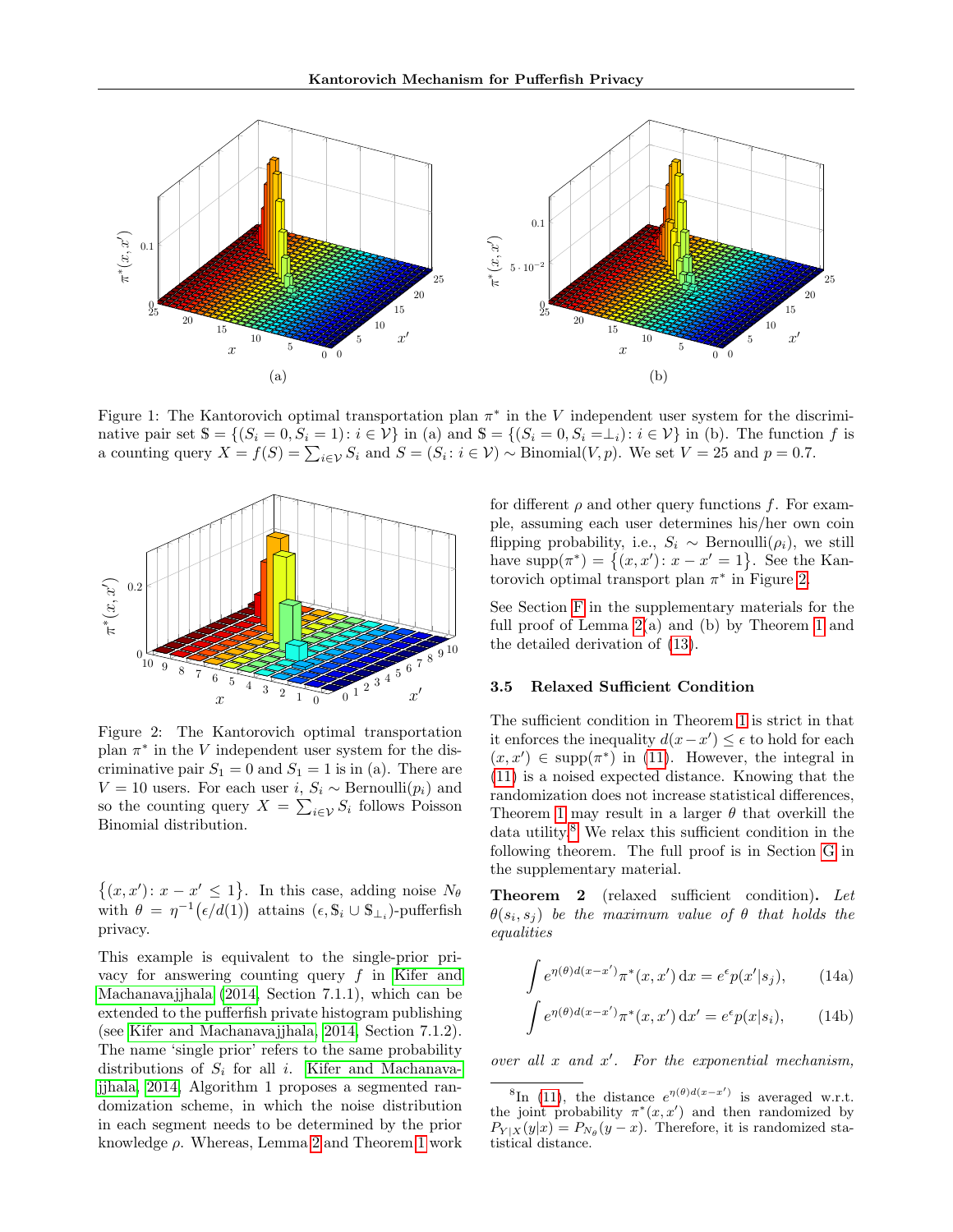<span id="page-5-0"></span>

Figure 1: The Kantorovich optimal transportation plan  $\pi^*$  in the V independent user system for the discriminative pair set  $\mathbb{S} = \{(S_i = 0, S_i = 1): i \in \mathcal{V}\}\$ in (a) and  $\mathbb{S} = \{(S_i = 0, S_i = \perp_i): i \in \mathcal{V}\}\$ in (b). The function f is a counting query  $X = f(S) = \sum_{i \in V} S_i$  and  $S = (S_i : i \in V) \sim \text{Binomial}(V, p)$ . We set  $V = 25$  and  $p = 0.7$ .

<span id="page-5-1"></span>

Figure 2: The Kantorovich optimal transportation plan  $\pi^*$  in the V independent user system for the discriminative pair  $S_1 = 0$  and  $S_1 = 1$  is in (a). There are V = 10 users. For each user *i*,  $S_i \sim \text{Bernoulli}(p_i)$  and so the counting query  $X = \sum_{i \in \mathcal{V}} S_i$  follows Poisson Binomial distribution.

 $\{(x, x') : x - x' \leq 1\}$ . In this case, adding noise  $N_{\theta}$ with  $\theta = \eta^{-1}(\epsilon/d(1))$  attains  $(\epsilon, \mathbb{S}_i \cup \mathbb{S}_{\perp_i})$ -pufferfish privacy.

This example is equivalent to the single-prior privacy for answering counting query  $f$  in [Kifer and](#page-9-6) [Machanavajjhala \(2014,](#page-9-6) Section 7.1.1), which can be extended to the pufferfish private histogram publishing (see [Kifer and Machanavajjhala, 2014,](#page-9-6) Section 7.1.2). The name 'single prior' refers to the same probability distributions of  $S_i$  for all i. [Kifer and Machanava](#page-9-6)[jjhala, 2014,](#page-9-6) Algorithm 1 proposes a segmented randomization scheme, in which the noise distribution in each segment needs to be determined by the prior knowledge  $\rho$ . Whereas, Lemma [2](#page-3-4) and Theorem [1](#page-4-4) work for different  $\rho$  and other query functions f. For example, assuming each user determines his/her own coin flipping probability, i.e.,  $S_i \sim \text{Bernoulli}(\rho_i)$ , we still have  $supp(\pi^*) = \{(x, x') : x - x' = 1\}$ . See the Kantorovich optimal transport plan  $\pi^*$  in Figure [2.](#page-5-1)

See Section [F](#page-14-1) in the supplementary materials for the full proof of Lemma [2\(](#page-3-4)a) and (b) by Theorem [1](#page-4-4) and the detailed derivation of [\(13\)](#page-4-6).

#### 3.5 Relaxed Sufficient Condition

The sufficient condition in Theorem [1](#page-4-4) is strict in that it enforces the inequality  $d(x-x') \leq \epsilon$  to hold for each  $(x, x') \in \text{supp}(\pi^*)$  in [\(11\)](#page-4-7). However, the integral in [\(11\)](#page-4-7) is a noised expected distance. Knowing that the randomization does not increase statistical differences, Theorem [1](#page-4-4) may result in a larger  $\theta$  that overkill the data utility.<sup>[8](#page-5-2)</sup> We relax this sufficient condition in the following theorem. The full proof is in Section [G](#page-16-0) in the supplementary material.

<span id="page-5-5"></span>Theorem 2 (relaxed sufficient condition). Let  $\theta(s_i, s_j)$  be the maximum value of  $\theta$  that holds the equalities

<span id="page-5-6"></span><span id="page-5-3"></span>
$$
\int e^{\eta(\theta)d(x-x')} \pi^*(x, x') dx = e^{\epsilon} p(x'|s_j), \qquad (14a)
$$

<span id="page-5-4"></span>
$$
\int e^{\eta(\theta)d(x-x')} \pi^*(x, x') dx' = e^{\epsilon} p(x|s_i), \qquad (14b)
$$

over all  $x$  and  $x'$ . For the exponential mechanism,

<span id="page-5-2"></span><sup>&</sup>lt;sup>8</sup>In [\(11\)](#page-4-7), the distance  $e^{\eta(\theta)d(x-x')}$  is averaged w.r.t. the joint probability  $\pi^*(x, x')$  and then randomized by  $P_{Y|X}(y|x) = P_{N_{\theta}}(y-x)$ . Therefore, it is randomized statistical distance.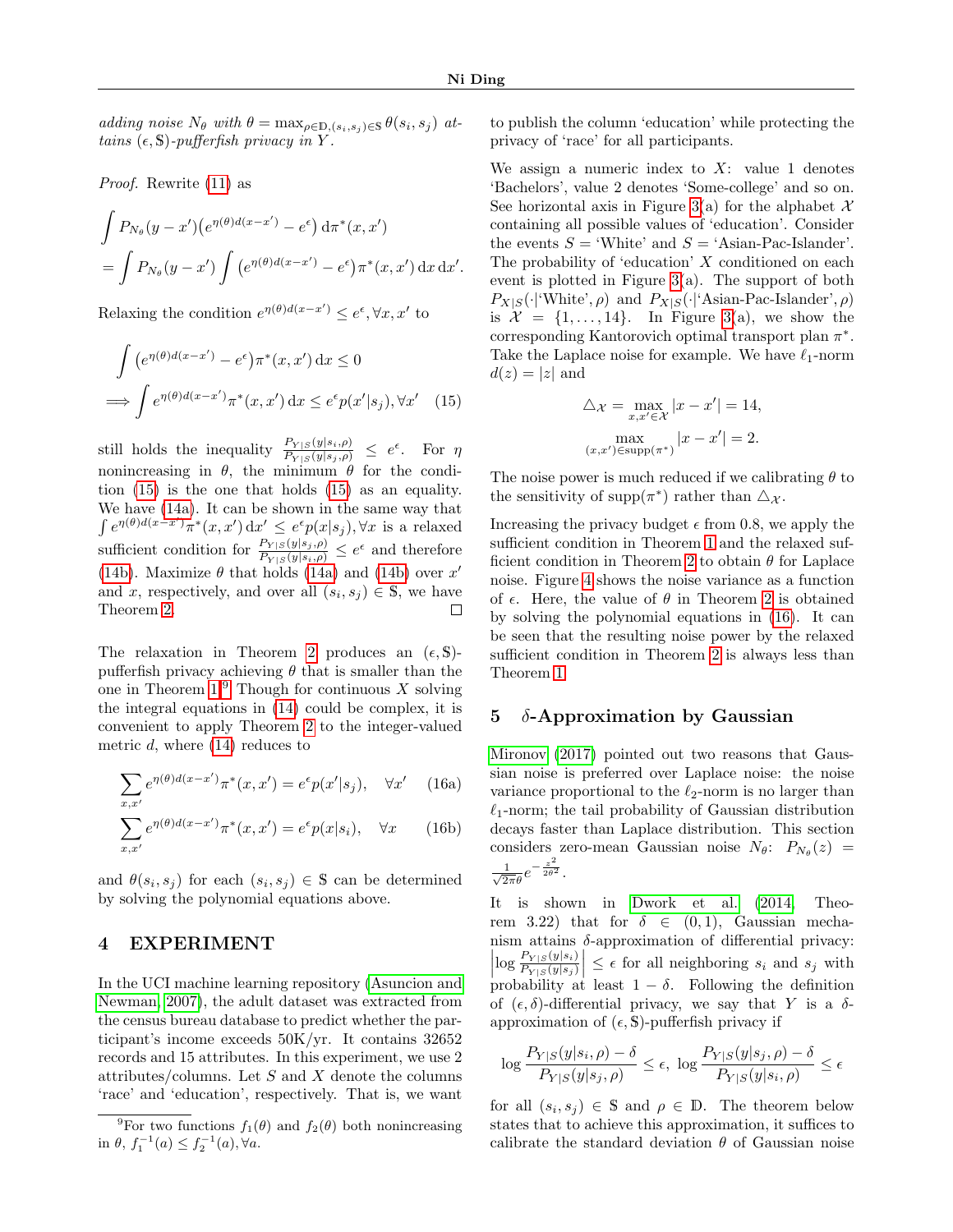adding noise  $N_{\theta}$  with  $\theta = \max_{\rho \in \mathbb{D}, (s_i, s_j) \in \mathbb{S}} \theta(s_i, s_j)$  attains  $(\epsilon, \mathbb{S})$ -pufferfish privacy in Y.

Proof. Rewrite [\(11\)](#page-4-7) as

$$
\int P_{N_{\theta}}(y-x')\left(e^{\eta(\theta)d(x-x')} - e^{\epsilon}\right) d\pi^*(x,x')
$$
  
= 
$$
\int P_{N_{\theta}}(y-x') \int \left(e^{\eta(\theta)d(x-x')} - e^{\epsilon}\right) \pi^*(x,x') dx dx'.
$$

Relaxing the condition  $e^{\eta(\theta)d(x-x')} \leq e^{\epsilon}, \forall x, x'$  to

$$
\int (e^{\eta(\theta)d(x-x')} - e^{\epsilon}) \pi^*(x, x') dx \le 0
$$
  

$$
\implies \int e^{\eta(\theta)d(x-x')} \pi^*(x, x') dx \le e^{\epsilon} p(x'|s_j), \forall x' \quad (15)
$$

still holds the inequality  $\frac{P_{Y|S}(y|s_i,\rho)}{P_{Y|S}(y|s_j,\rho)} \leq e^{\epsilon}$ . For  $\eta$ nonincreasing in  $\theta$ , the minimum  $\theta$  for the condition [\(15\)](#page-6-1) is the one that holds [\(15\)](#page-6-1) as an equality. We have [\(14a\)](#page-5-3). It can be shown in the same way that  $\int e^{\eta(\theta)d(x-x')} \pi^*(x,x') dx' \leq e^{\epsilon} p(x|s_j), \forall x$  is a relaxed sufficient condition for  $\frac{P_{Y|S}(y|s_j,\rho)}{P_{Y|S}(y|s_i,\rho)} \leq e^{\epsilon}$  and therefore [\(14b\)](#page-5-4). Maximize  $\theta$  that holds [\(14a\)](#page-5-3) and [\(14b\)](#page-5-4) over x' and x, respectively, and over all  $(s_i, s_j) \in S$ , we have Theorem [2.](#page-5-5)

The relaxation in Theorem [2](#page-5-5) produces an  $(\epsilon, \mathbb{S})$ pufferfish privacy achieving  $\theta$  that is smaller than the one in Theorem  $1<sup>9</sup>$  $1<sup>9</sup>$  $1<sup>9</sup>$  Though for continuous X solving the integral equations in [\(14\)](#page-5-6) could be complex, it is convenient to apply Theorem [2](#page-5-5) to the integer-valued metric  $d$ , where  $(14)$  reduces to

$$
\sum_{x,x'} e^{\eta(\theta)d(x-x')} \pi^*(x,x') = e^{\epsilon} p(x'|s_j), \quad \forall x' \quad (16a)
$$

$$
\sum_{x,x'} e^{\eta(\theta)d(x-x')} \pi^*(x,x') = e^{\epsilon} p(x|s_i), \quad \forall x \qquad (16b)
$$

and  $\theta(s_i, s_j)$  for each  $(s_i, s_j) \in \mathbb{S}$  can be determined by solving the polynomial equations above.

### <span id="page-6-0"></span>4 EXPERIMENT

In the UCI machine learning repository [\(Asuncion and](#page-8-10) [Newman, 2007\)](#page-8-10), the adult dataset was extracted from the census bureau database to predict whether the participant's income exceeds 50K/yr. It contains 32652 records and 15 attributes. In this experiment, we use 2 attributes/columns. Let  $S$  and  $X$  denote the columns 'race' and 'education', respectively. That is, we want

to publish the column 'education' while protecting the privacy of 'race' for all participants.

We assign a numeric index to  $X$ : value 1 denotes 'Bachelors', value 2 denotes 'Some-college' and so on. See horizontal axis in Figure [3\(](#page-7-0)a) for the alphabet  $\mathcal{X}$ containing all possible values of 'education'. Consider the events  $S = 'White'$  and  $S = 'Asian-Pac-Islander'.$ The probability of 'education'  $X$  conditioned on each event is plotted in Figure [3\(](#page-7-0)a). The support of both  $P_{X|S}(\cdot | \text{'White'}, \rho)$  and  $P_{X|S}(\cdot | \text{'Asian-Pac-Islander'}, \rho)$ is  $\mathcal{X} = \{1, \ldots, 14\}$ . In Figure [3\(](#page-7-0)a), we show the corresponding Kantorovich optimal transport plan  $\pi^*$ . Take the Laplace noise for example. We have  $\ell_1$ -norm  $d(z) = |z|$  and

$$
\Delta_{\mathcal{X}} = \max_{x, x' \in \mathcal{X}} |x - x'| = 14,
$$

$$
\max_{(x, x') \in \text{supp}(\pi^*)} |x - x'| = 2.
$$

<span id="page-6-1"></span>The noise power is much reduced if we calibrating  $\theta$  to the sensitivity of supp $(\pi^*)$  rather than  $\triangle_{\mathcal{X}}$ .

Increasing the privacy budget  $\epsilon$  from 0.8, we apply the sufficient condition in Theorem [1](#page-4-4) and the relaxed suf-ficient condition in Theorem [2](#page-5-5) to obtain  $\theta$  for Laplace noise. Figure [4](#page-7-1) shows the noise variance as a function of  $\epsilon$ . Here, the value of  $\theta$  in Theorem [2](#page-5-5) is obtained by solving the polynomial equations in [\(16\)](#page-6-3). It can be seen that the resulting noise power by the relaxed sufficient condition in Theorem [2](#page-5-5) is always less than Theorem [1.](#page-4-4)

### 5  $\delta$ -Approximation by Gaussian

<span id="page-6-3"></span>[Mironov \(2017\)](#page-9-3) pointed out two reasons that Gaussian noise is preferred over Laplace noise: the noise variance proportional to the  $\ell_2$ -norm is no larger than  $\ell_1$ -norm; the tail probability of Gaussian distribution decays faster than Laplace distribution. This section considers zero-mean Gaussian noise  $N_{\theta}$ :  $P_{N_{\theta}}(z)$  =  $\frac{1}{\sqrt{2\pi}\theta}e^{-\frac{z^2}{2\theta^2}}.$ 

It is shown in [Dwork et al. \(2014,](#page-9-0) Theorem 3.22) that for  $\delta \in (0,1)$ , Gaussian mechanism attains  $\delta$ -approximation of differential privacy:  $\log \frac{P_{Y|S}(y|s_i)}{P_{Y|S}(y|s_j)}$  $\vert \leq \epsilon$  for all neighboring  $s_i$  and  $s_j$  with probability at least  $1 - \delta$ . Following the definition of  $(\epsilon, \delta)$ -differential privacy, we say that Y is a  $\delta$ approximation of  $(\epsilon, \mathbb{S})$ -pufferfish privacy if

$$
\log \frac{P_{Y|S}(y|s_i, \rho) - \delta}{P_{Y|S}(y|s_j, \rho)} \le \epsilon, \ \log \frac{P_{Y|S}(y|s_j, \rho) - \delta}{P_{Y|S}(y|s_i, \rho)} \le \epsilon
$$

for all  $(s_i, s_j) \in \mathbb{S}$  and  $\rho \in \mathbb{D}$ . The theorem below states that to achieve this approximation, it suffices to calibrate the standard deviation  $\theta$  of Gaussian noise

<span id="page-6-2"></span><sup>&</sup>lt;sup>9</sup>For two functions  $f_1(\theta)$  and  $f_2(\theta)$  both nonincreasing in  $\theta$ ,  $f_1^{-1}(a) \leq f_2^{-1}(a)$ ,  $\forall a$ .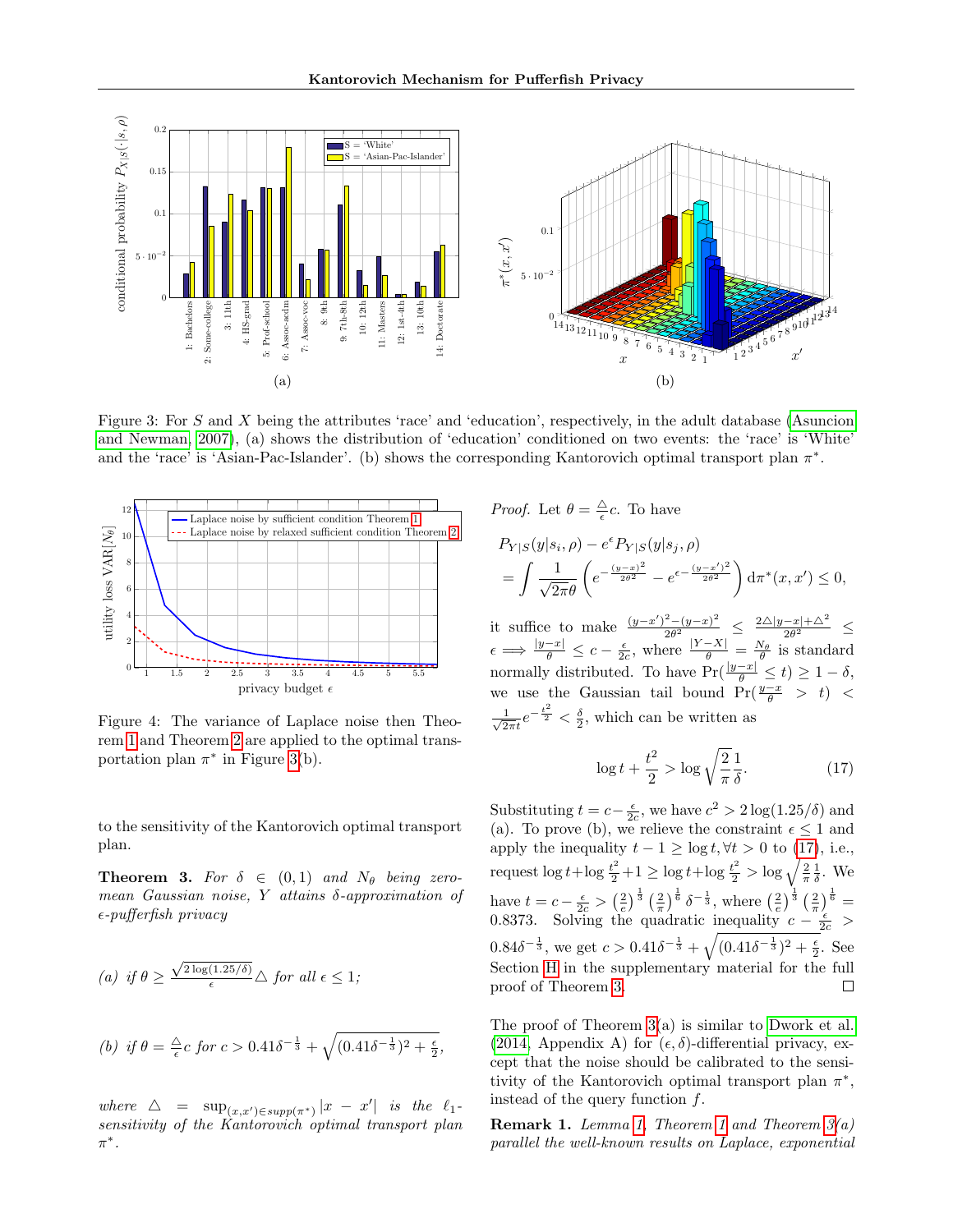<span id="page-7-0"></span>

Figure 3: For S and X being the attributes 'race' and 'education', respectively, in the adult database [\(Asuncion](#page-8-10) [and Newman, 2007\)](#page-8-10), (a) shows the distribution of 'education' conditioned on two events: the 'race' is 'White' and the 'race' is 'Asian-Pac-Islander'. (b) shows the corresponding Kantorovich optimal transport plan  $\pi^*$ .

<span id="page-7-1"></span>

Figure 4: The variance of Laplace noise then Theorem [1](#page-4-4) and Theorem [2](#page-5-5) are applied to the optimal transportation plan  $\pi^*$  in Figure [3\(](#page-7-0)b).

to the sensitivity of the Kantorovich optimal transport plan.

<span id="page-7-3"></span>**Theorem 3.** For  $\delta \in (0,1)$  and  $N_{\theta}$  being zeromean Gaussian noise, Y attains  $\delta$ -approximation of  $\epsilon$ -pufferfish privacy

(a) if 
$$
\theta \ge \frac{\sqrt{2 \log(1.25/\delta)}}{\epsilon} \triangle
$$
 for all  $\epsilon \le 1$ ;  
\n(b) if  $\theta = \frac{\triangle}{\epsilon} c$  for  $c > 0.41\delta^{-\frac{1}{3}} + \sqrt{(0.41\delta^{-\frac{1}{3}})^2 + \frac{\epsilon}{2}}$ ,

where  $\triangle$  =  $\sup_{(x,x') \in supp(\pi^*)} |x - x'|$  is the  $\ell_1$ sensitivity of the Kantorovich optimal transport plan  $\pi^*$ .

*Proof.* Let 
$$
\theta = \frac{\Delta}{\epsilon} c
$$
. To have  
\n
$$
P_{Y|S}(y|s_i, \rho) - e^{\epsilon} P_{Y|S}(y|s_j, \rho)
$$
\n
$$
= \int \frac{1}{\sqrt{2\pi}\theta} \left( e^{-\frac{(y-x)^2}{2\theta^2}} - e^{\epsilon - \frac{(y-x')^2}{2\theta^2}} \right) d\pi^*(x, x') \le 0,
$$

it suffice to make  $\frac{(y-x')^2-(y-x)^2}{2\theta^2}$  $\frac{2-(y-x)^2}{2\theta^2} \leq \frac{2\Delta|y-x|+\Delta^2}{2\theta^2} \leq$  $\epsilon \Longrightarrow \frac{|y-x|}{\theta} \leq c - \frac{\epsilon}{2c}$ , where  $\frac{|Y-X|}{\theta} = \frac{N_{\theta}}{\theta}$  is standard normally distributed. To have  $Pr(\frac{|y-x|}{\theta} \le t) \ge 1 - \delta$ , we use the Gaussian tail bound  $Pr(\frac{y-x}{\theta} > t)$  <  $\frac{1}{\sqrt{2}}$  $\frac{1}{2\pi i}e^{-\frac{t^2}{2}} < \frac{\delta}{2}$ , which can be written as

<span id="page-7-2"></span>
$$
\log t + \frac{t^2}{2} > \log \sqrt{\frac{2}{\pi}} \frac{1}{\delta}.\tag{17}
$$

Substituting  $t = c - \frac{\epsilon}{2c}$ , we have  $c^2 > 2 \log(1.25/\delta)$  and (a). To prove (b), we relieve the constraint  $\epsilon \leq 1$  and apply the inequality  $t - 1 \ge \log t$ ,  $\forall t > 0$  to [\(17\)](#page-7-2), i.e., request  $\log t + \log \frac{t^2}{2} + 1 \ge \log t + \log \frac{t^2}{2} > \log \sqrt{\frac{2}{\pi}} \frac{1}{\delta}$ . We have  $t = c - \frac{\epsilon}{2c} > \left(\frac{2}{e}\right)^{\frac{1}{3}} \left(\frac{2}{\pi}\right)^{\frac{1}{6}} \delta^{-\frac{1}{3}}, \text{ where } \left(\frac{2}{e}\right)^{\frac{1}{3}} \left(\frac{2}{\pi}\right)^{\frac{1}{6}} =$ 0.8373. Solving the quadratic inequality  $c - \frac{\epsilon}{2c}$  >  $0.84\delta^{-\frac{1}{3}}$ , we get  $c > 0.41\delta^{-\frac{1}{3}} + \sqrt{(0.41\delta^{-\frac{1}{3}})^2 + \frac{\epsilon}{2}}$ . See Section [H](#page-18-0) in the supplementary material for the full proof of Theorem [3.](#page-7-3)  $\Box$ 

The proof of Theorem  $3(a)$  is similar to [Dwork et al.](#page-9-0) [\(2014,](#page-9-0) Appendix A) for  $(\epsilon, \delta)$ -differential privacy, except that the noise should be calibrated to the sensitivity of the Kantorovich optimal transport plan  $\pi^*$ , instead of the query function f.

**Remark [1](#page-4-4).** Lemma [1,](#page-3-3) Theorem 1 and Theorem  $3(a)$ parallel the well-known results on Laplace, exponential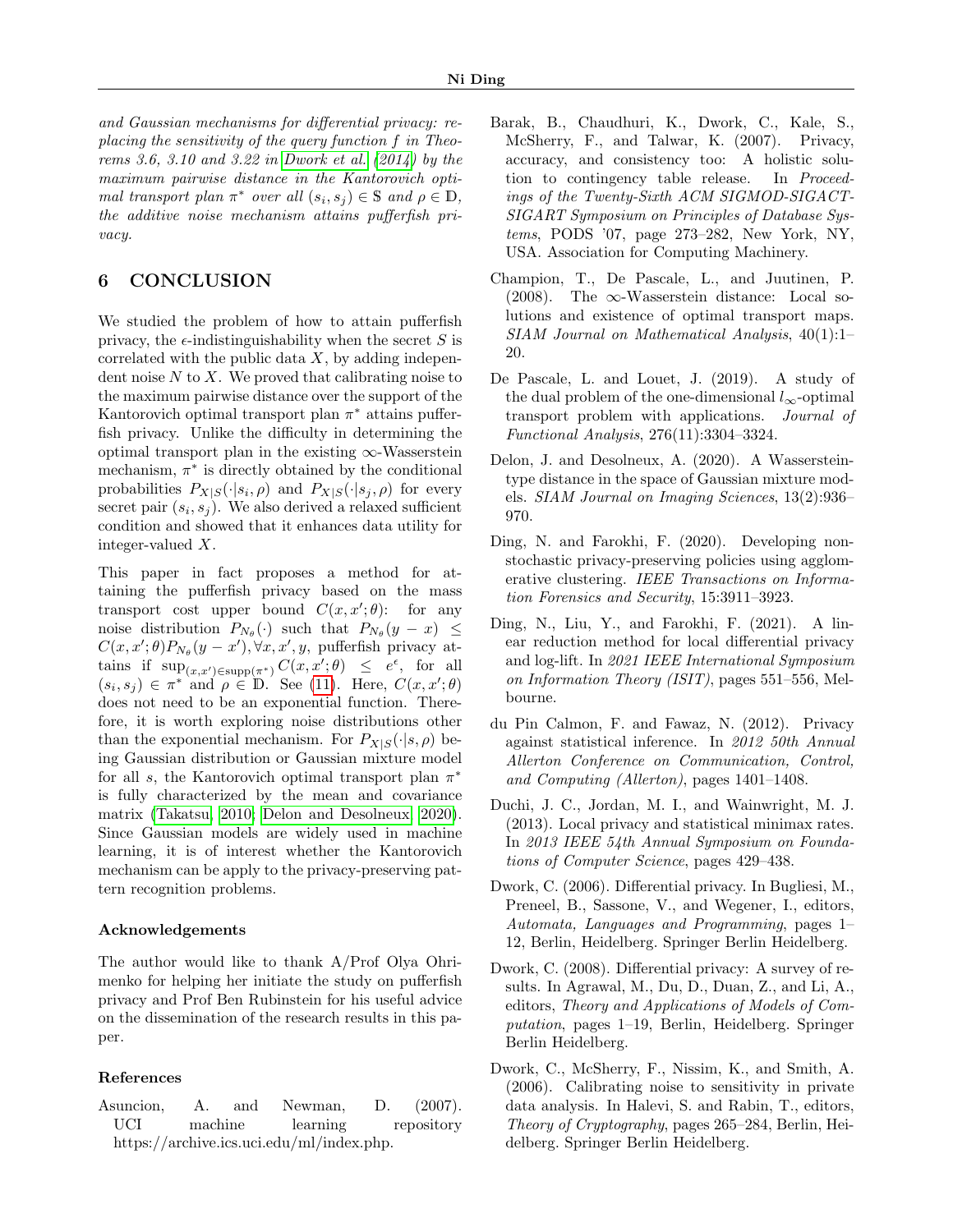and Gaussian mechanisms for differential privacy: replacing the sensitivity of the query function f in Theorems 3.6, 3.10 and 3.22 in [Dwork et al.](#page-9-0) [\(2014\)](#page-9-0) by the maximum pairwise distance in the Kantorovich optimal transport plan  $\pi^*$  over all  $(s_i, s_j) \in \mathbb{S}$  and  $\rho \in \mathbb{D}$ , the additive noise mechanism attains pufferfish privacy.

# 6 CONCLUSION

We studied the problem of how to attain pufferfish privacy, the  $\epsilon$ -indistinguishability when the secret S is correlated with the public data  $X$ , by adding independent noise  $N$  to  $X$ . We proved that calibrating noise to the maximum pairwise distance over the support of the Kantorovich optimal transport plan  $\pi^*$  attains pufferfish privacy. Unlike the difficulty in determining the optimal transport plan in the existing  $\infty$ -Wasserstein mechanism,  $\pi^*$  is directly obtained by the conditional probabilities  $P_{X|S}(\cdot|s_i, \rho)$  and  $P_{X|S}(\cdot|s_j, \rho)$  for every secret pair  $(s_i, s_j)$ . We also derived a relaxed sufficient condition and showed that it enhances data utility for integer-valued X.

This paper in fact proposes a method for attaining the pufferfish privacy based on the mass transport cost upper bound  $C(x, x'; \theta)$ : for any noise distribution  $P_{N_{\theta}}(\cdot)$  such that  $P_{N_{\theta}}(y-x) \leq$  $C(x, x'; \theta) P_{N_{\theta}}(y - x'), \forall x, x', y$ , pufferfish privacy attains if  $\sup_{(x,x')\in \text{supp}(\pi^*)} C(x,x';\theta) \leq e^{\epsilon}$ , for all  $(s_i, s_j) \in \pi^*$  and  $\rho \in \mathbb{D}$ . See [\(11\)](#page-4-7). Here,  $C(x, x'; \theta)$ does not need to be an exponential function. Therefore, it is worth exploring noise distributions other than the exponential mechanism. For  $P_{X|S}(\cdot|s,\rho)$  being Gaussian distribution or Gaussian mixture model for all s, the Kantorovich optimal transport plan  $\pi^*$ is fully characterized by the mean and covariance matrix [\(Takatsu, 2010;](#page-9-14) [Delon and Desolneux, 2020\)](#page-8-11). Since Gaussian models are widely used in machine learning, it is of interest whether the Kantorovich mechanism can be apply to the privacy-preserving pattern recognition problems.

#### Acknowledgements

The author would like to thank A/Prof Olya Ohrimenko for helping her initiate the study on pufferfish privacy and Prof Ben Rubinstein for his useful advice on the dissemination of the research results in this paper.

### References

<span id="page-8-10"></span>Asuncion, A. and Newman, D. (2007). UCI machine learning repository https://archive.ics.uci.edu/ml/index.php.

- <span id="page-8-1"></span>Barak, B., Chaudhuri, K., Dwork, C., Kale, S., McSherry, F., and Talwar, K. (2007). Privacy, accuracy, and consistency too: A holistic solution to contingency table release. In Proceedings of the Twenty-Sixth ACM SIGMOD-SIGACT-SIGART Symposium on Principles of Database Systems, PODS '07, page 273–282, New York, NY, USA. Association for Computing Machinery.
- <span id="page-8-7"></span>Champion, T., De Pascale, L., and Juutinen, P. (2008). The  $\infty$ -Wasserstein distance: Local solutions and existence of optimal transport maps. SIAM Journal on Mathematical Analysis, 40(1):1– 20.
- <span id="page-8-8"></span>De Pascale, L. and Louet, J. (2019). A study of the dual problem of the one-dimensional  $l_{\infty}$ -optimal transport problem with applications. Journal of Functional Analysis, 276(11):3304–3324.
- <span id="page-8-11"></span>Delon, J. and Desolneux, A. (2020). A Wassersteintype distance in the space of Gaussian mixture models. SIAM Journal on Imaging Sciences, 13(2):936– 970.
- <span id="page-8-3"></span>Ding, N. and Farokhi, F. (2020). Developing nonstochastic privacy-preserving policies using agglomerative clustering. IEEE Transactions on Information Forensics and Security, 15:3911–3923.
- <span id="page-8-4"></span>Ding, N., Liu, Y., and Farokhi, F. (2021). A linear reduction method for local differential privacy and log-lift. In 2021 IEEE International Symposium on Information Theory (ISIT), pages 551–556, Melbourne.
- <span id="page-8-2"></span>du Pin Calmon, F. and Fawaz, N. (2012). Privacy against statistical inference. In 2012 50th Annual Allerton Conference on Communication, Control, and Computing (Allerton), pages 1401–1408.
- <span id="page-8-9"></span>Duchi, J. C., Jordan, M. I., and Wainwright, M. J. (2013). Local privacy and statistical minimax rates. In 2013 IEEE 54th Annual Symposium on Foundations of Computer Science, pages 429–438.
- <span id="page-8-5"></span>Dwork, C. (2006). Differential privacy. In Bugliesi, M., Preneel, B., Sassone, V., and Wegener, I., editors, Automata, Languages and Programming, pages 1– 12, Berlin, Heidelberg. Springer Berlin Heidelberg.
- <span id="page-8-0"></span>Dwork, C. (2008). Differential privacy: A survey of results. In Agrawal, M., Du, D., Duan, Z., and Li, A., editors, Theory and Applications of Models of Computation, pages 1–19, Berlin, Heidelberg. Springer Berlin Heidelberg.
- <span id="page-8-6"></span>Dwork, C., McSherry, F., Nissim, K., and Smith, A. (2006). Calibrating noise to sensitivity in private data analysis. In Halevi, S. and Rabin, T., editors, Theory of Cryptography, pages 265–284, Berlin, Heidelberg. Springer Berlin Heidelberg.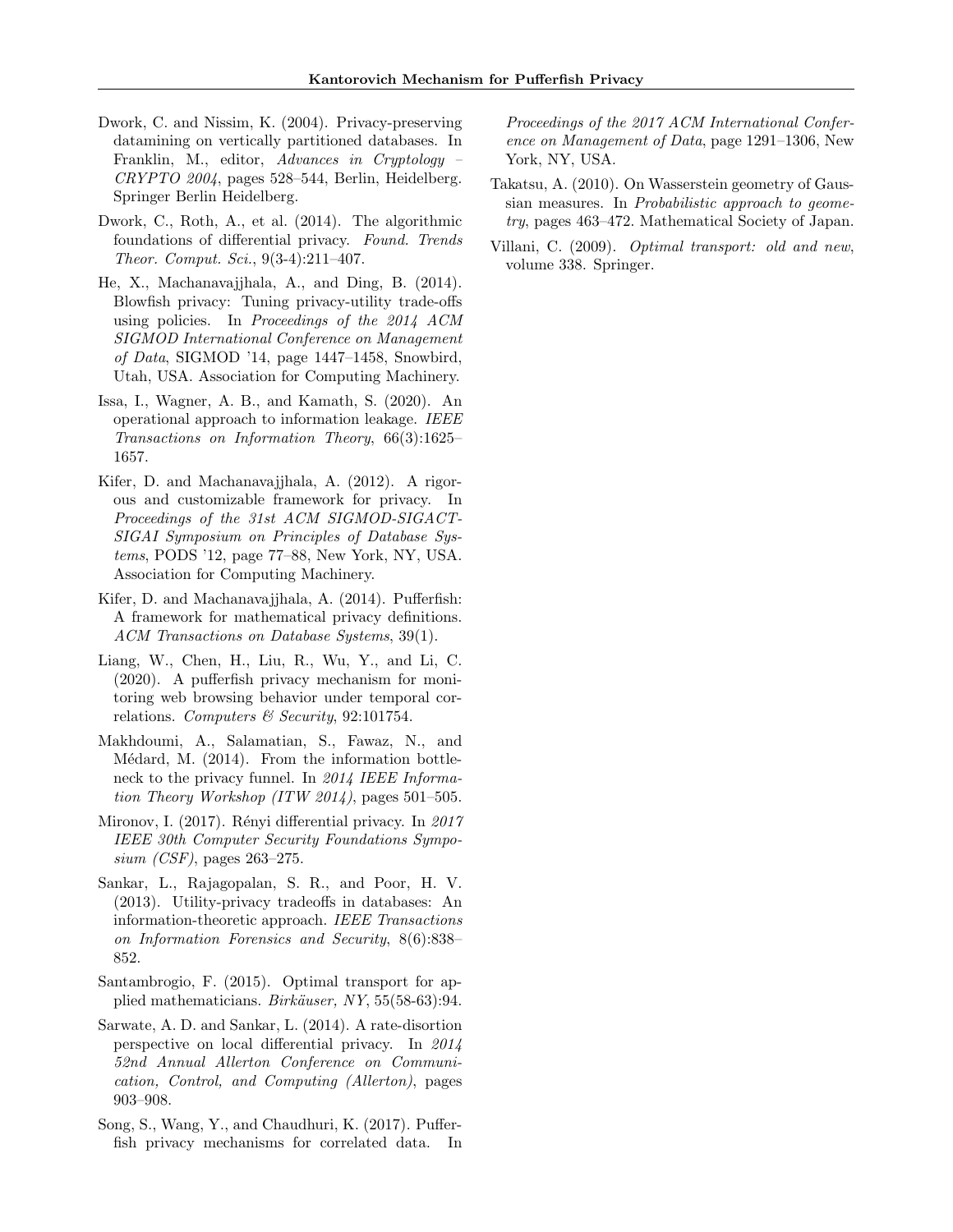- <span id="page-9-1"></span>Dwork, C. and Nissim, K. (2004). Privacy-preserving datamining on vertically partitioned databases. In Franklin, M., editor, Advances in Cryptology – CRYPTO 2004, pages 528–544, Berlin, Heidelberg. Springer Berlin Heidelberg.
- <span id="page-9-0"></span>Dwork, C., Roth, A., et al. (2014). The algorithmic foundations of differential privacy. Found. Trends Theor. Comput. Sci., 9(3-4):211–407.
- <span id="page-9-11"></span>He, X., Machanavajjhala, A., and Ding, B. (2014). Blowfish privacy: Tuning privacy-utility trade-offs using policies. In Proceedings of the 2014 ACM SIGMOD International Conference on Management of Data, SIGMOD '14, page 1447–1458, Snowbird, Utah, USA. Association for Computing Machinery.
- <span id="page-9-4"></span>Issa, I., Wagner, A. B., and Kamath, S. (2020). An operational approach to information leakage. IEEE Transactions on Information Theory, 66(3):1625– 1657.
- <span id="page-9-5"></span>Kifer, D. and Machanavajjhala, A. (2012). A rigorous and customizable framework for privacy. In Proceedings of the 31st ACM SIGMOD-SIGACT-SIGAI Symposium on Principles of Database Systems, PODS '12, page 77–88, New York, NY, USA. Association for Computing Machinery.
- <span id="page-9-6"></span>Kifer, D. and Machanavajjhala, A. (2014). Pufferfish: A framework for mathematical privacy definitions. ACM Transactions on Database Systems, 39(1).
- <span id="page-9-8"></span>Liang, W., Chen, H., Liu, R., Wu, Y., and Li, C. (2020). A pufferfish privacy mechanism for monitoring web browsing behavior under temporal correlations. Computers & Security, 92:101754.
- <span id="page-9-7"></span>Makhdoumi, A., Salamatian, S., Fawaz, N., and Médard, M.  $(2014)$ . From the information bottleneck to the privacy funnel. In 2014 IEEE Information Theory Workshop (ITW 2014), pages 501–505.
- <span id="page-9-3"></span>Mironov, I.  $(2017)$ . Rényi differential privacy. In  $2017$ IEEE 30th Computer Security Foundations Sympo $sium (CSF)$ , pages 263–275.
- <span id="page-9-2"></span>Sankar, L., Rajagopalan, S. R., and Poor, H. V. (2013). Utility-privacy tradeoffs in databases: An information-theoretic approach. IEEE Transactions on Information Forensics and Security, 8(6):838– 852.
- <span id="page-9-13"></span>Santambrogio, F. (2015). Optimal transport for applied mathematicians. Birkäuser, NY, 55(58-63):94.
- <span id="page-9-10"></span>Sarwate, A. D. and Sankar, L. (2014). A rate-disortion perspective on local differential privacy. In 2014 52nd Annual Allerton Conference on Communication, Control, and Computing (Allerton), pages 903–908.
- <span id="page-9-9"></span>Song, S., Wang, Y., and Chaudhuri, K. (2017). Pufferfish privacy mechanisms for correlated data. In

Proceedings of the 2017 ACM International Conference on Management of Data, page 1291–1306, New York, NY, USA.

- <span id="page-9-14"></span>Takatsu, A. (2010). On Wasserstein geometry of Gaussian measures. In Probabilistic approach to geometry, pages 463–472. Mathematical Society of Japan.
- <span id="page-9-12"></span>Villani, C. (2009). Optimal transport: old and new, volume 338. Springer.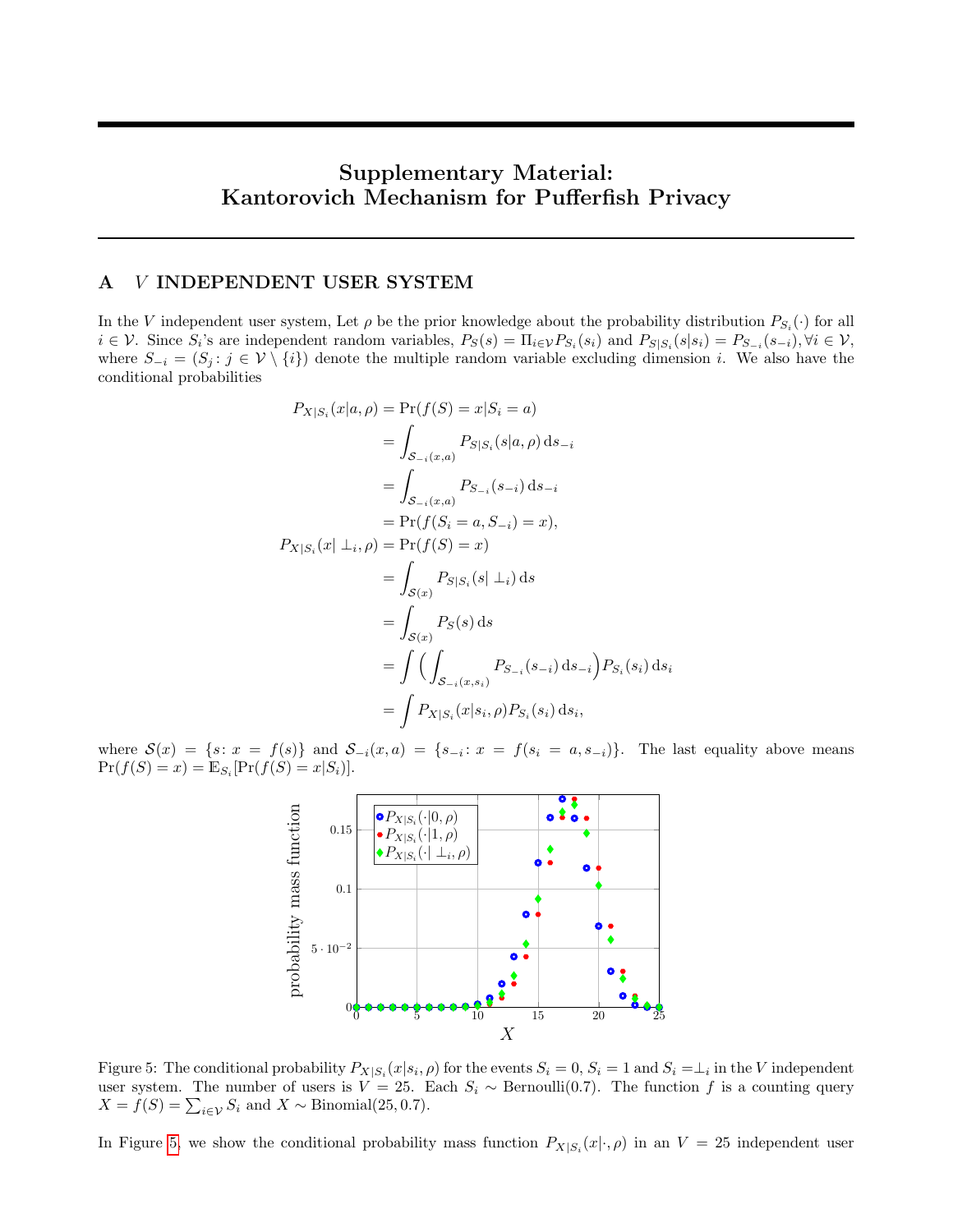# Supplementary Material: Kantorovich Mechanism for Pufferfish Privacy

### <span id="page-10-0"></span>A V INDEPENDENT USER SYSTEM

In the V independent user system, Let  $\rho$  be the prior knowledge about the probability distribution  $P_{S_i}(\cdot)$  for all  $i \in \mathcal{V}$ . Since  $S_i$ 's are independent random variables,  $P_S(s) = \Pi_{i \in \mathcal{V}} P_{S_i}(s_i)$  and  $P_{S|S_i}(s|s_i) = P_{S_{i}}(s_{-i}), \forall i \in \mathcal{V}$ , where  $S_{-i} = (S_j : j \in \mathcal{V} \setminus \{i\})$  denote the multiple random variable excluding dimension i. We also have the conditional probabilities

$$
P_{X|S_i}(x|a, \rho) = \Pr(f(S) = x|S_i = a)
$$
  
=  $\int_{S_{-i}(x,a)} P_{S|S_i}(s|a, \rho) ds_{-i}$   
=  $\int_{S_{-i}(x,a)} P_{S_{-i}}(s_{-i}) ds_{-i}$   
=  $\Pr(f(S_i = a, S_{-i}) = x)$ ,  

$$
P_{X|S_i}(x | \perp_i, \rho) = \Pr(f(S) = x)
$$
  
=  $\int_{S(x)} P_{S|S_i}(s | \perp_i) ds$   
=  $\int_{S(x)} P_{S(s)} ds$   
=  $\int (\int_{S_{-i}(x,s_i)} P_{S_{-i}}(s_{-i}) ds_{-i}) P_{S_i}(s_i) ds_i$   
=  $\int P_{X|S_i}(x|s_i, \rho) P_{S_i}(s_i) ds_i$ ,

<span id="page-10-1"></span>where  $S(x) = \{s: x = f(s)\}\$  and  $S_{-i}(x, a) = \{s_{-i}: x = f(s_i = a, s_{-i})\}\.$  The last equality above means  $Pr(f(S) = x) = \mathbb{E}_{S_i}[Pr(f(S) = x|S_i)].$ 



Figure 5: The conditional probability  $P_{X|S_i}(x|s_i, \rho)$  for the events  $S_i = 0, S_i = 1$  and  $S_i = \perp_i$  in the V independent user system. The number of users is  $V = 25$ . Each  $S_i \sim \text{Bernoulli}(0.7)$ . The function f is a counting query  $X = f(S) = \sum_{i \in \mathcal{V}} S_i$  and  $X \sim \text{Binomial}(25, 0.7)$ .

In Figure [5,](#page-10-1) we show the conditional probability mass function  $P_{X|S_i}(x|\cdot,\rho)$  in an  $V = 25$  independent user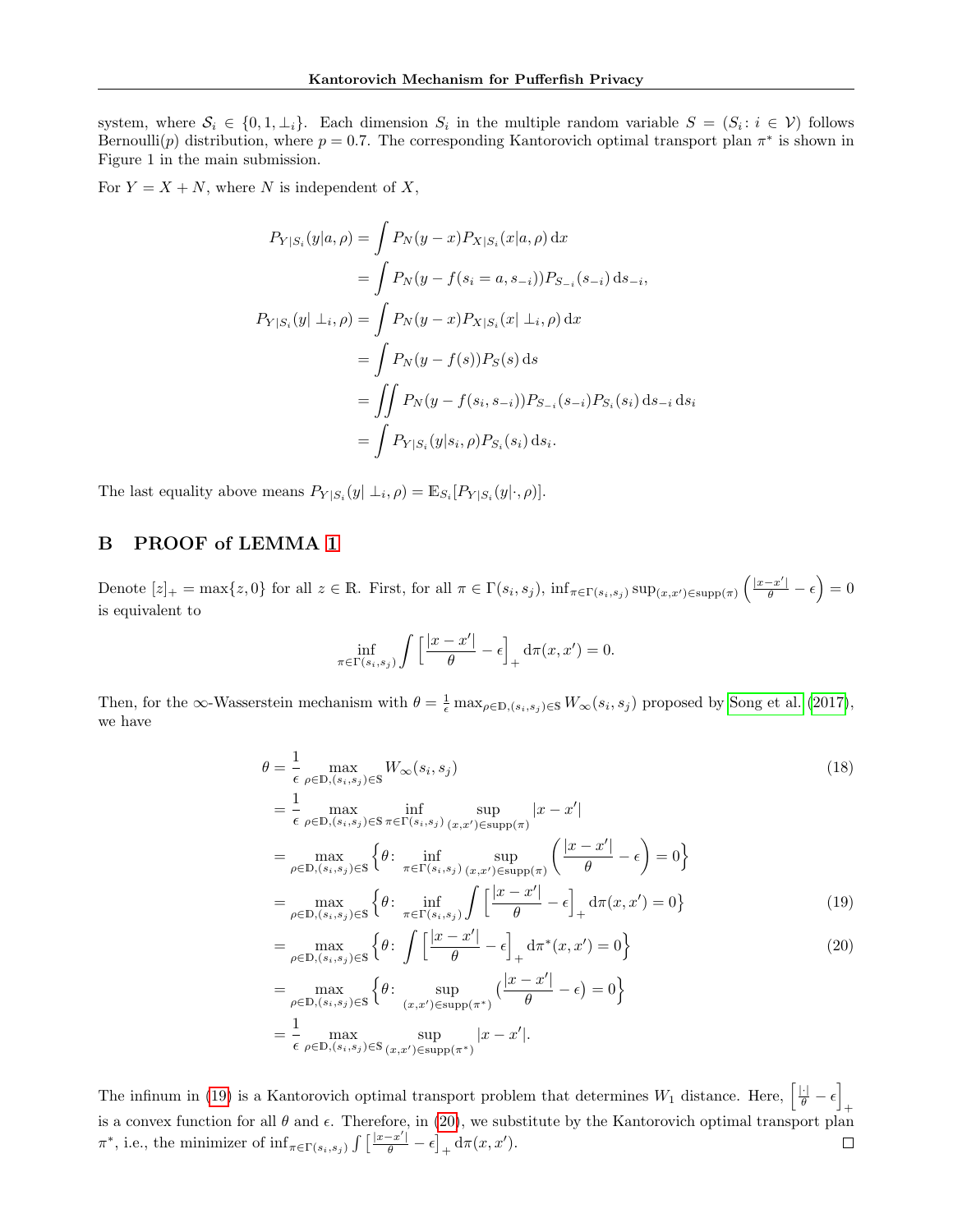system, where  $S_i \in \{0, 1, \perp_i\}$ . Each dimension  $S_i$  in the multiple random variable  $S = (S_i : i \in V)$  follows Bernoulli(p) distribution, where  $p = 0.7$ . The corresponding Kantorovich optimal transport plan  $\pi^*$  is shown in Figure 1 in the main submission.

For  $Y = X + N$ , where N is independent of X,

$$
P_{Y|S_i}(y|a, \rho) = \int P_N(y-x) P_{X|S_i}(x|a, \rho) dx
$$
  
= 
$$
\int P_N(y - f(s_i = a, s_{-i})) P_{S_{-i}}(s_{-i}) ds_{-i},
$$
  

$$
P_{Y|S_i}(y| \perp_i, \rho) = \int P_N(y-x) P_{X|S_i}(x| \perp_i, \rho) dx
$$
  
= 
$$
\int P_N(y - f(s)) P_S(s) ds
$$
  
= 
$$
\int P_N(y - f(s_i, s_{-i})) P_{S_{-i}}(s_{-i}) P_{S_i}(s_i) ds_{-i} ds_i
$$
  
= 
$$
\int P_{Y|S_i}(y|s_i, \rho) P_{S_i}(s_i) ds_i.
$$

The last equality above means  $P_{Y|S_i}(y | \perp_i, \rho) = \mathbb{E}_{S_i}[P_{Y|S_i}(y | \cdot, \rho)].$ 

# <span id="page-11-0"></span>B PROOF of LEMMA [1](#page-3-3)

Denote  $[z]_+ = \max\{z, 0\}$  for all  $z \in \mathbb{R}$ . First, for all  $\pi \in \Gamma(s_i, s_j)$ ,  $\inf_{\pi \in \Gamma(s_i, s_j)} \sup_{(x, x') \in \text{supp}(\pi)} \left( \frac{|x - x'|}{\theta} - \epsilon \right) = 0$ is equivalent to

<span id="page-11-2"></span><span id="page-11-1"></span>
$$
\inf_{\pi \in \Gamma(s_i, s_j)} \int \left[ \frac{|x - x'|}{\theta} - \epsilon \right]_+ \mathrm{d}\pi(x, x') = 0.
$$

Then, for the  $\infty$ -Wasserstein mechanism with  $\theta = \frac{1}{\epsilon} \max_{\rho \in \mathbb{D}, (s_i, s_j) \in \mathbb{S}} W_{\infty}(s_i, s_j)$  proposed by [Song et al. \(2017\)](#page-9-9), we have

$$
\theta = \frac{1}{\epsilon} \max_{\rho \in \mathbb{D}, (s_i, s_j) \in \mathbb{S}} W_{\infty}(s_i, s_j)
$$
\n
$$
= \frac{1}{\epsilon} \max_{\rho \in \mathbb{D}, (s_i, s_j) \in \mathbb{S}} \inf_{\pi \in \Gamma(s_i, s_j)} \sup_{(x, x') \in \text{supp}(\pi)} |x - x'|
$$
\n
$$
= \max_{\rho \in \mathbb{D}, (s_i, s_j) \in \mathbb{S}} \left\{ \theta \colon \inf_{\pi \in \Gamma(s_i, s_j)} \sup_{(x, x') \in \text{supp}(\pi)} \left( \frac{|x - x'|}{\theta} - \epsilon \right) = 0 \right\}
$$
\n
$$
= \max_{\rho \in \mathbb{D}, (s_i, s_j) \in \mathbb{S}} \left\{ \theta \colon \inf_{\pi \in \Gamma(s_i, s_j)} \int \left[ \frac{|x - x'|}{\theta} - \epsilon \right]_+ d\pi(x, x') = 0 \right\}
$$
\n
$$
= \max_{\rho \in \mathbb{D}, (s_i, s_j) \in \mathbb{S}} \left\{ \theta \colon \int \left[ \frac{|x - x'|}{\theta} - \epsilon \right]_+ d\pi^*(x, x') = 0 \right\}
$$
\n
$$
= \max_{\rho \in \mathbb{D}, (s_i, s_j) \in \mathbb{S}} \left\{ \theta \colon \sup_{(x, x') \in \text{supp}(\pi^*)} \left( \frac{|x - x'|}{\theta} - \epsilon \right) = 0 \right\}
$$
\n
$$
= \frac{1}{\epsilon} \max_{\rho \in \mathbb{D}, (s_i, s_j) \in \mathbb{S}} \sup_{(x, x') \in \text{supp}(\pi^*)} |x - x'|.
$$
\n(20)

The infinum in [\(19\)](#page-11-1) is a Kantorovich optimal transport problem that determines  $W_1$  distance. Here,  $\left[\frac{|\cdot|}{\theta} - \epsilon\right]$ + is a convex function for all  $\theta$  and  $\epsilon$ . Therefore, in [\(20\)](#page-11-2), we substitute by the Kantorovich optimal transport plan  $\pi^*$ , i.e., the minimizer of  $\inf_{\pi \in \Gamma(s_i, s_j)} \int \left[ \frac{|x - x'|}{\theta} - \epsilon \right]_+ d\pi(x, x').$  $\Box$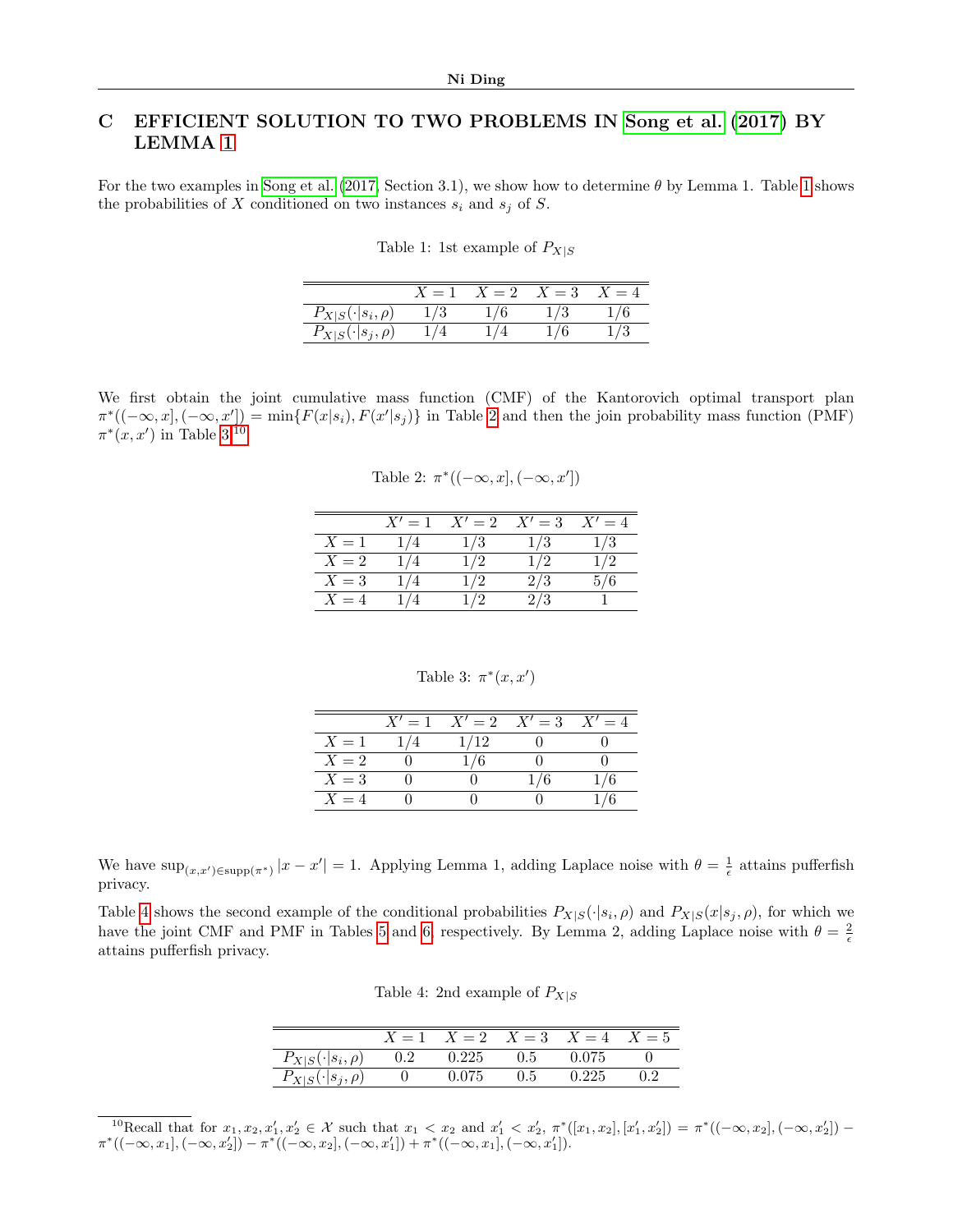# <span id="page-12-0"></span>C EFFICIENT SOLUTION TO TWO PROBLEMS IN [Song et al.](#page-9-9) [\(2017\)](#page-9-9) BY LEMMA [1](#page-3-3)

<span id="page-12-1"></span>For the two examples in [Song et al. \(2017,](#page-9-9) Section 3.1), we show how to determine  $\theta$  by Lemma [1](#page-12-1). Table 1 shows the probabilities of X conditioned on two instances  $s_i$  and  $s_j$  of S.

|                           | $=1$ | $X = 2$ | $X=3$ | $=4$ |
|---------------------------|------|---------|-------|------|
| $P_{X S}(\cdot s_i,\rho)$ | 73   |         | ು     |      |
| $P_{X S}(\cdot s_j,\rho)$ |      |         |       |      |

<span id="page-12-2"></span>We first obtain the joint cumulative mass function (CMF) of the Kantorovich optimal transport plan  $\pi^*((-\infty, x], (-\infty, x']) = \min\{F(x|s_i), F(x'|s_j)\}\$ in Table [2](#page-12-2) and then the join probability mass function (PMF)  $\pi^*(x, x')$  in Table [3.](#page-12-3)<sup>[10](#page-12-4)</sup>

Table 2:  $\pi^*((-\infty, x], (-\infty, x'])$ 

|       | $X'=1$ | $X'=2$ | $X'=3$ | $X'=4$ |
|-------|--------|--------|--------|--------|
| $X=1$ | 1/4    | 1/3    | 1/3    | 1/3    |
| $X=2$ | 1/4    | 1/2    | 1/2    | 1/2    |
| $X=3$ | 1/4    | 1/2    | 2/3    | 5/6    |
| $X=4$ | 1 / 4  | 1/2    | 2/3    |        |

Table 3: 
$$
\pi^*(x, x')
$$

|       | $X'=1$ |      | $X' = 2$ $X' = 3$ $X' = 4$ |  |
|-------|--------|------|----------------------------|--|
| $X=1$ |        | 1/12 |                            |  |
| $X=2$ |        | 1/6  |                            |  |
| $X=3$ |        |      |                            |  |
| $X=4$ |        |      |                            |  |

<span id="page-12-3"></span>We have  $\sup_{(x,x')\in \text{supp}(\pi^*)} |x-x'| = 1$ . Applying Lemma 1, adding Laplace noise with  $\theta = \frac{1}{\epsilon}$  attains pufferfish privacy.

<span id="page-12-5"></span>Table [4](#page-12-5) shows the second example of the conditional probabilities  $P_{X|S}(\cdot|s_i, \rho)$  and  $P_{X|S}(x|s_j, \rho)$ , for which we have the joint CMF and PMF in Tables [5](#page-13-1) and [6,](#page-13-2) respectively. By Lemma 2, adding Laplace noise with  $\theta = \frac{2}{\epsilon}$ attains pufferfish privacy.

| Table 4: 2nd example of $P_{X S}$ |  |
|-----------------------------------|--|
|-----------------------------------|--|

|                           | $X=1$   |       |     | $X=2$ $X=3$ $X=4$ | $X=5$ |
|---------------------------|---------|-------|-----|-------------------|-------|
| $P_{X S}(\cdot s_i,\rho)$ | $0.2\,$ | 0.225 | 0.5 | 0.075             |       |
| $P_{X S}(\cdot s_j,\rho)$ |         | 0.075 | 0.5 | 0.225             | 0.2   |
|                           |         |       |     |                   |       |

<span id="page-12-4"></span><sup>10</sup>Recall that for  $x_1, x_2, x'_1, x'_2 \in \mathcal{X}$  such that  $x_1 < x_2$  and  $x'_1 < x'_2, \pi^*([x_1, x_2], [x'_1, x'_2]) = \pi^*((-\infty, x_2], (-\infty, x'_2])$  $\pi^*((-\infty,x_1],(-\infty,x_2'])-\pi^*((-\infty,x_2],(-\infty,x_1'])+\pi^*((-\infty,x_1],(-\infty,x_1']).$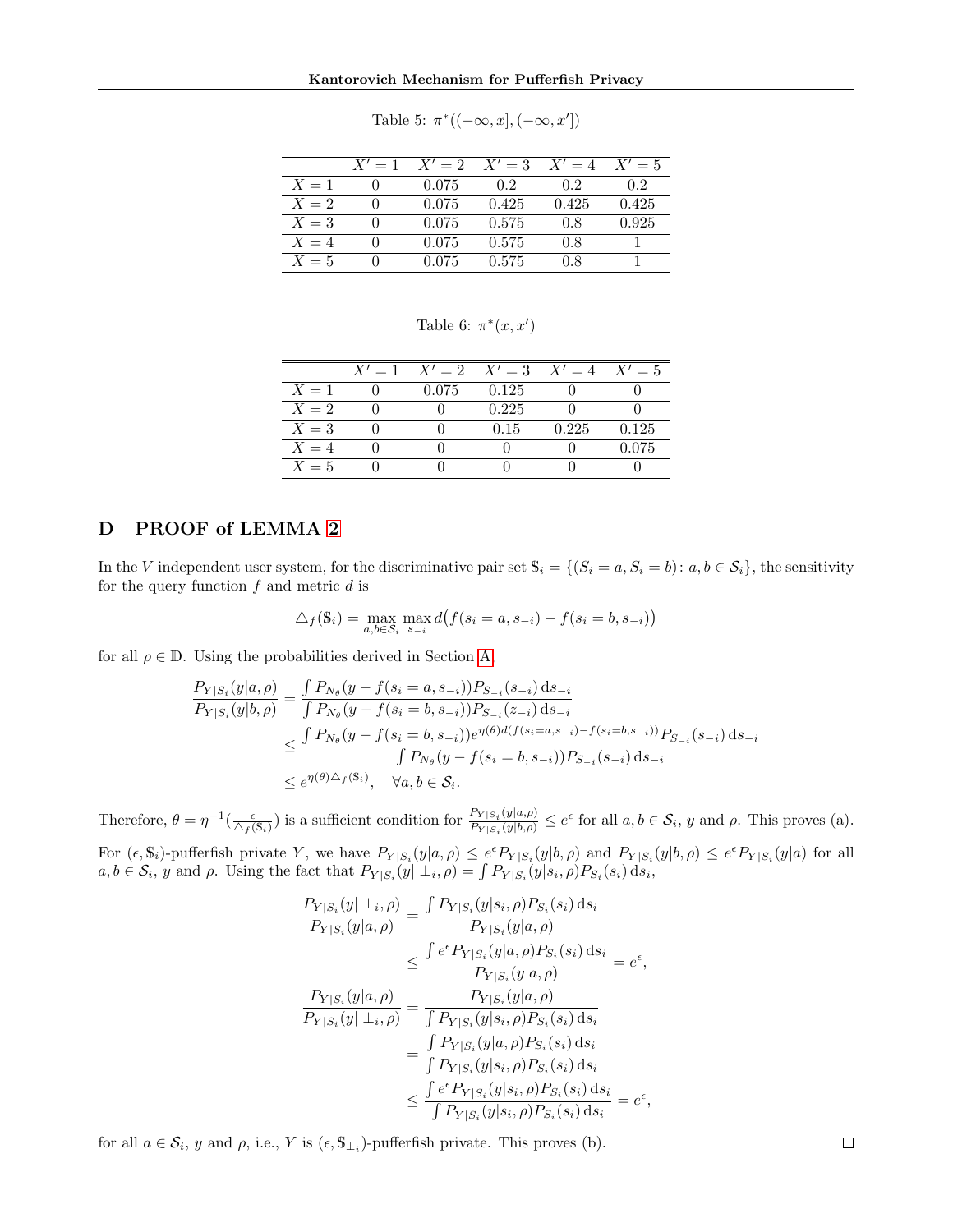<span id="page-13-1"></span>

|       | $X'=1$ | $X'=2$ | $X'=3$ | $X'=4$ | $X'=5$ |
|-------|--------|--------|--------|--------|--------|
| $X=1$ |        | 0.075  | 0.2    | 02     | 02     |
| $X=2$ |        | 0.075  | 0.425  | 0.425  | 0.425  |
| $X=3$ |        | 0.075  | 0.575  | 0.8    | 0.925  |
| $X=4$ |        | 0.075  | 0.575  | 0.8    |        |
| $X=5$ |        | 0.075  | 0.575  | 0.8    |        |

Table 5:  $\pi^*((-\infty, x], (-\infty, x'])$ 

Table 6:  $\pi^*(x, x')$ 

<span id="page-13-2"></span>

|       | $X' = 1$ $X' = 2$ $X' = 3$ $X' = 4$ $X' = 5$ |       |       |       |
|-------|----------------------------------------------|-------|-------|-------|
| $X=1$ | 0.075                                        | 0.125 |       |       |
| $X=2$ |                                              | 0.225 |       |       |
| $X=3$ |                                              | 0.15  | 0.225 | 0.125 |
| $X=4$ |                                              |       |       | 0.075 |
| $X=5$ |                                              |       |       |       |

### <span id="page-13-0"></span>D PROOF of LEMMA [2](#page-3-4)

In the V independent user system, for the discriminative pair set  $\mathbb{S}_i = \{(S_i = a, S_i = b): a, b \in S_i\}$ , the sensitivity for the query function  $f$  and metric  $d$  is

$$
\triangle_f(\mathbf{S}_i) = \max_{a,b \in \mathcal{S}_i} \max_{s_{-i}} d(f(s_i = a, s_{-i}) - f(s_i = b, s_{-i}))
$$

for all  $\rho \in \mathbb{D}$ . Using the probabilities derived in Section [A,](#page-10-0)

$$
\frac{P_{Y|S_i}(y|a,\rho)}{P_{Y|S_i}(y|b,\rho)} = \frac{\int P_{N_{\theta}}(y - f(s_i = a, s_{-i}))P_{S_{-i}}(s_{-i}) ds_{-i}}{\int P_{N_{\theta}}(y - f(s_i = b, s_{-i}))P_{S_{-i}}(z_{-i}) ds_{-i}}\n\n\leq \frac{\int P_{N_{\theta}}(y - f(s_i = b, s_{-i}))e^{\eta(\theta)d(f(s_i = a, s_{-i}) - f(s_i = b, s_{-i}))}P_{S_{-i}}(s_{-i}) ds_{-i}}{\int P_{N_{\theta}}(y - f(s_i = b, s_{-i}))P_{S_{-i}}(s_{-i}) ds_{-i}}\n\n\leq e^{\eta(\theta)\triangle_f(\mathbb{S}_i)}, \quad \forall a, b \in \mathcal{S}_i.
$$

Therefore,  $\theta = \eta^{-1}(\frac{\epsilon}{\Delta_f(\mathbf{s}_i)})$  is a sufficient condition for  $\frac{P_{Y|S_i}(y|a,\rho)}{P_{Y|S_i}(y|b,\rho)}$  $\frac{P_{Y|S_i}(y|a,\rho)}{P_{Y|S_i}(y|b,\rho)} \leq e^{\epsilon}$  for all  $a, b \in S_i$ , y and  $\rho$ . This proves (a).

For  $(\epsilon, \mathbb{S}_i)$ -pufferfish private Y, we have  $P_{Y|S_i}(y|a, \rho) \leq e^{\epsilon} P_{Y|S_i}(y|b, \rho)$  and  $P_{Y|S_i}(y|b, \rho) \leq e^{\epsilon} P_{Y|S_i}(y|a)$  for all  $a, b \in \mathcal{S}_i$ , y and  $\rho$ . Using the fact that  $P_{Y|S_i}(y | \perp_i, \rho) = \int P_{Y|S_i}(y | s_i, \rho) P_{S_i}(s_i) ds_i$ ,

$$
\frac{P_{Y|S_i}(y| \perp_i, \rho)}{P_{Y|S_i}(y|a, \rho)} = \frac{\int P_{Y|S_i}(y|s_i, \rho) P_{S_i}(s_i) ds_i}{P_{Y|S_i}(y|a, \rho)} \\
\leq \frac{\int e^{\epsilon} P_{Y|S_i}(y|a, \rho) P_{S_i}(s_i) ds_i}{P_{Y|S_i}(y|a, \rho)} = e^{\epsilon}, \\
\frac{P_{Y|S_i}(y|a, \rho)}{P_{Y|S_i}(y| \perp_i, \rho)} = \frac{P_{Y|S_i}(y|a, \rho)}{\int P_{Y|S_i}(y|s_i, \rho) P_{S_i}(s_i) ds_i} \\
= \frac{\int P_{Y|S_i}(y|a, \rho) P_{S_i}(s_i) ds_i}{\int P_{Y|S_i}(y|s_i, \rho) P_{S_i}(s_i) ds_i} = e^{\epsilon}, \\
\leq \frac{\int e^{\epsilon} P_{Y|S_i}(y|s_i, \rho) P_{S_i}(s_i) ds_i}{\int P_{Y|S_i}(y|s_i, \rho) P_{S_i}(s_i) ds_i} = e^{\epsilon},
$$

for all  $a \in \mathcal{S}_i$ , y and  $\rho$ , i.e., Y is  $(\epsilon, \mathbb{S}_{\perp_i})$ -pufferfish private. This proves (b).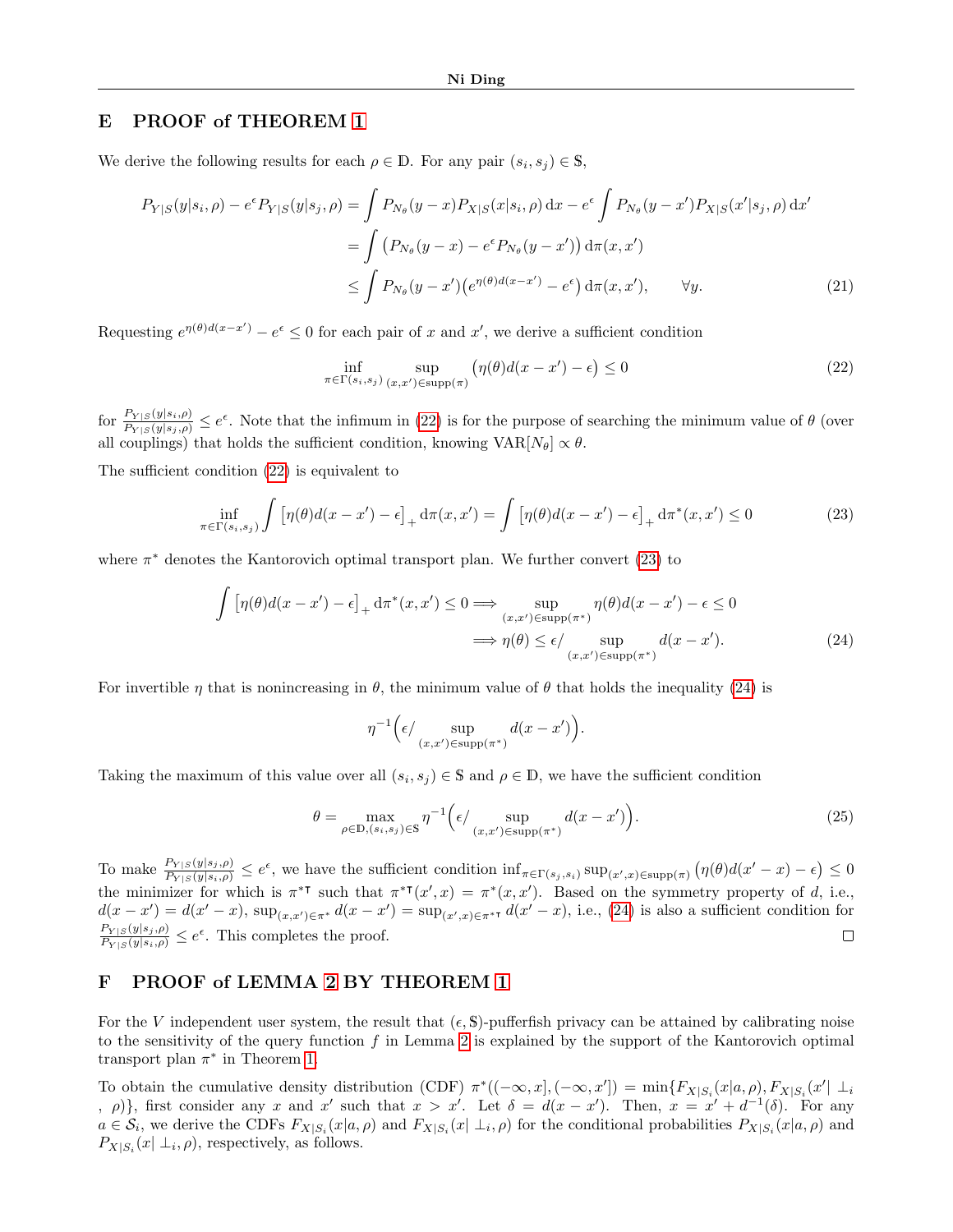### <span id="page-14-0"></span>E PROOF of THEOREM [1](#page-4-4)

We derive the following results for each  $\rho \in \mathbb{D}$ . For any pair  $(s_i, s_j) \in \mathbb{S}$ ,

$$
P_{Y|S}(y|s_i, \rho) - e^{\epsilon} P_{Y|S}(y|s_j, \rho) = \int P_{N_{\theta}}(y-x) P_{X|S}(x|s_i, \rho) dx - e^{\epsilon} \int P_{N_{\theta}}(y-x') P_{X|S}(x'|s_j, \rho) dx'
$$
  
= 
$$
\int (P_{N_{\theta}}(y-x) - e^{\epsilon} P_{N_{\theta}}(y-x')) d\pi(x, x')
$$
  

$$
\leq \int P_{N_{\theta}}(y-x') (e^{\eta(\theta)d(x-x')} - e^{\epsilon}) d\pi(x, x'), \quad \forall y.
$$
 (21)

Requesting  $e^{\eta(\theta)d(x-x')} - e^{\epsilon} \leq 0$  for each pair of x and x', we derive a sufficient condition

<span id="page-14-5"></span><span id="page-14-2"></span>
$$
\inf_{\pi \in \Gamma(s_i, s_j)} \sup_{(x, x') \in \text{supp}(\pi)} \left( \eta(\theta) d(x - x') - \epsilon \right) \le 0 \tag{22}
$$

for  $\frac{P_{Y|S}(y|s_i,\rho)}{P_{Y|S}(y|s_i,\rho)} \leq e^{\epsilon}$ . Note that the infimum in [\(22\)](#page-14-2) is for the purpose of searching the minimum value of  $\theta$  (over all couplings) that holds the sufficient condition, knowing  $VAR[N_\theta] \propto \theta$ .

The sufficient condition [\(22\)](#page-14-2) is equivalent to

<span id="page-14-3"></span>
$$
\inf_{\pi \in \Gamma(s_i, s_j)} \int \left[ \eta(\theta) d(x - x') - \epsilon \right]_+ \mathrm{d}\pi(x, x') = \int \left[ \eta(\theta) d(x - x') - \epsilon \right]_+ \mathrm{d}\pi^*(x, x') \le 0 \tag{23}
$$

where  $\pi^*$  denotes the Kantorovich optimal transport plan. We further convert [\(23\)](#page-14-3) to

$$
\int \left[ \eta(\theta) d(x - x') - \epsilon \right]_+ d\pi^*(x, x') \le 0 \Longrightarrow \sup_{(x, x') \in \text{supp}(\pi^*)} \eta(\theta) d(x - x') - \epsilon \le 0
$$
  

$$
\Longrightarrow \eta(\theta) \le \epsilon / \sup_{(x, x') \in \text{supp}(\pi^*)} d(x - x'). \tag{24}
$$

For invertible  $\eta$  that is nonincreasing in  $\theta$ , the minimum value of  $\theta$  that holds the inequality [\(24\)](#page-14-4) is

<span id="page-14-4"></span>
$$
\eta^{-1}\Big(\epsilon/\sup_{(x,x')\in\text{supp}(\pi^*)}d(x-x')\Big).
$$

Taking the maximum of this value over all  $(s_i, s_j) \in \mathbb{S}$  and  $\rho \in \mathbb{D}$ , we have the sufficient condition

$$
\theta = \max_{\rho \in \mathbb{D}, (s_i, s_j) \in \mathbb{S}} \eta^{-1} \Big( \epsilon / \sup_{(x, x') \in \text{supp}(\pi^*)} d(x - x') \Big). \tag{25}
$$

To make  $\frac{P_{Y|S}(y|s_j,\rho)}{P_{Y|S}(y|s_i,\rho)} \leq e^{\epsilon}$ , we have the sufficient condition  $\inf_{\pi \in \Gamma(s_j,s_i)} \sup_{(x',x) \in \text{supp}(\pi)} (\eta(\theta)d(x'-x) - \epsilon) \leq 0$ the minimizer for which is  $\pi^{*T}$  such that  $\pi^{*T}(x',x) = \pi^{*}(x,x')$ . Based on the symmetry property of d, i.e.,  $d(x-x') = d(x'-x)$ ,  $\sup_{(x,x')\in\pi^*} d(x-x') = \sup_{(x',x)\in\pi^*} d(x'-x)$ , i.e., [\(24\)](#page-14-4) is also a sufficient condition for  $\frac{P_{Y|S}(y|s_j,\rho)}{P_{Y|S}(y|s_i,\rho)} \leq e^{\epsilon}$ . This completes the proof.  $\Box$ 

### <span id="page-14-1"></span>F PROOF of LEMMA [2](#page-3-4) BY THEOREM [1](#page-4-4)

For the V independent user system, the result that  $(\epsilon, \mathbb{S})$ -pufferfish privacy can be attained by calibrating noise to the sensitivity of the query function f in Lemma [2](#page-3-4) is explained by the support of the Kantorovich optimal transport plan  $\pi^*$  in Theorem [1.](#page-4-4)

To obtain the cumulative density distribution (CDF)  $\pi^*((-\infty, x], (-\infty, x']) = \min\{F_{X|S_i}(x|a, \rho), F_{X|S_i}(x' | \perp_i) \}$ ,  $\rho$ }, first consider any x and x' such that  $x > x'$ . Let  $\delta = d(x - x')$ . Then,  $x = x' + d^{-1}(\delta)$ . For any  $a \in \mathcal{S}_i$ , we derive the CDFs  $F_{X|S_i}(x|a,\rho)$  and  $F_{X|S_i}(x|\perp_i,\rho)$  for the conditional probabilities  $P_{X|S_i}(x|a,\rho)$  and  $P_{X|S_i}(x | \perp_i, \rho)$ , respectively, as follows.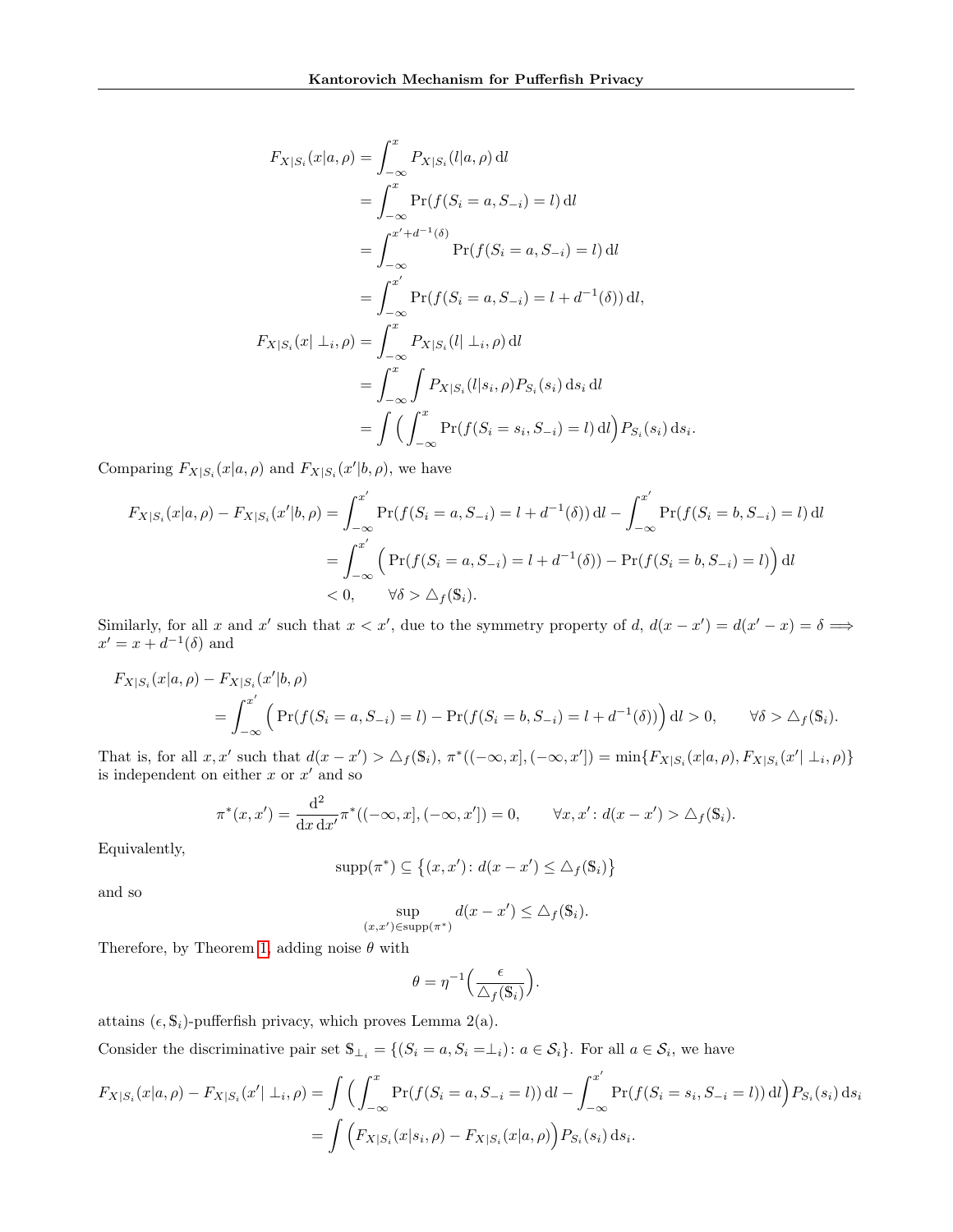$$
F_{X|S_i}(x|a, \rho) = \int_{-\infty}^x P_{X|S_i}(l|a, \rho) \, \mathrm{d}l
$$
  
\n
$$
= \int_{-\infty}^x \Pr(f(S_i = a, S_{-i}) = l) \, \mathrm{d}l
$$
  
\n
$$
= \int_{-\infty}^{x'+d^{-1}(\delta)} \Pr(f(S_i = a, S_{-i}) = l) \, \mathrm{d}l
$$
  
\n
$$
= \int_{-\infty}^{x'} \Pr(f(S_i = a, S_{-i}) = l + d^{-1}(\delta)) \, \mathrm{d}l,
$$
  
\n
$$
F_{X|S_i}(x| \perp_i, \rho) = \int_{-\infty}^x P_{X|S_i}(l| \perp_i, \rho) \, \mathrm{d}l
$$
  
\n
$$
= \int_{-\infty}^x \int P_{X|S_i}(l|s_i, \rho) P_{S_i}(s_i) \, \mathrm{d}s_i \, \mathrm{d}l
$$
  
\n
$$
= \int \left( \int_{-\infty}^x \Pr(f(S_i = s_i, S_{-i}) = l) \, \mathrm{d}l \right) P_{S_i}(s_i) \, \mathrm{d}s_i.
$$

Comparing  $F_{X|S_i}(x|a, \rho)$  and  $F_{X|S_i}(x'|b, \rho)$ , we have

$$
F_{X|S_i}(x|a,\rho) - F_{X|S_i}(x'|b,\rho) = \int_{-\infty}^{x'} \Pr(f(S_i = a, S_{-i}) = l + d^{-1}(\delta)) \, \mathrm{d}l - \int_{-\infty}^{x'} \Pr(f(S_i = b, S_{-i}) = l) \, \mathrm{d}l
$$
\n
$$
= \int_{-\infty}^{x'} \left( \Pr(f(S_i = a, S_{-i}) = l + d^{-1}(\delta)) - \Pr(f(S_i = b, S_{-i}) = l) \right) \, \mathrm{d}l
$$
\n
$$
< 0, \qquad \forall \delta > \Delta_f(\mathbb{S}_i).
$$

Similarly, for all x and x' such that  $x < x'$ , due to the symmetry property of d,  $d(x - x') = d(x' - x) = \delta \implies$  $x' = x + d^{-1}(\delta)$  and

$$
F_{X|S_i}(x|a,\rho) - F_{X|S_i}(x'|b,\rho)
$$
  
=  $\int_{-\infty}^{x'} \left( \Pr(f(S_i = a, S_{-i}) = l) - \Pr(f(S_i = b, S_{-i}) = l + d^{-1}(\delta)) \right) dl > 0, \quad \forall \delta > \Delta_f(\mathbb{S}_i).$ 

That is, for all  $x, x'$  such that  $d(x - x') > \Delta_f(\mathbb{S}_i)$ ,  $\pi^*((-\infty, x], (-\infty, x']) = \min\{F_{X|S_i}(x|a, \rho), F_{X|S_i}(x' | \perp_i, \rho)\}\)$ is independent on either  $x$  or  $x'$  and so

$$
\pi^*(x, x') = \frac{d^2}{dx dx'} \pi^*((-\infty, x], (-\infty, x']) = 0, \qquad \forall x, x' : d(x - x') > \triangle_f(\mathbb{S}_i).
$$

Equivalently,

$$
supp(\pi^*) \subseteq \{(x, x') : d(x - x') \le \triangle_f(\mathbb{S}_i)\}\
$$

and so

$$
\sup_{(x,x')\in \text{supp}(\pi^*)} d(x-x') \leq \triangle_f(\mathbb{S}_i).
$$

Therefore, by Theorem [1,](#page-4-4) adding noise  $\theta$  with

$$
\theta = \eta^{-1} \Big( \frac{\epsilon}{\Delta_f(\mathbb{S}_i)} \Big).
$$

attains  $(\epsilon, \mathbb{S}_i)$ -pufferfish privacy, which proves Lemma 2(a).

Consider the discriminative pair set  $\mathbb{S}_{\perp_i} = \{(S_i = a, S_i = \perp_i) : a \in S_i\}$ . For all  $a \in S_i$ , we have

$$
F_{X|S_i}(x|a,\rho) - F_{X|S_i}(x'| \perp_i, \rho) = \int \left( \int_{-\infty}^x \Pr(f(S_i = a, S_{-i} = l)) \, \mathrm{d}l - \int_{-\infty}^{x'} \Pr(f(S_i = s_i, S_{-i} = l)) \, \mathrm{d}l \right) P_{S_i}(s_i) \, \mathrm{d}s_i
$$
\n
$$
= \int \left( F_{X|S_i}(x|s_i, \rho) - F_{X|S_i}(x|a, \rho) \right) P_{S_i}(s_i) \, \mathrm{d}s_i.
$$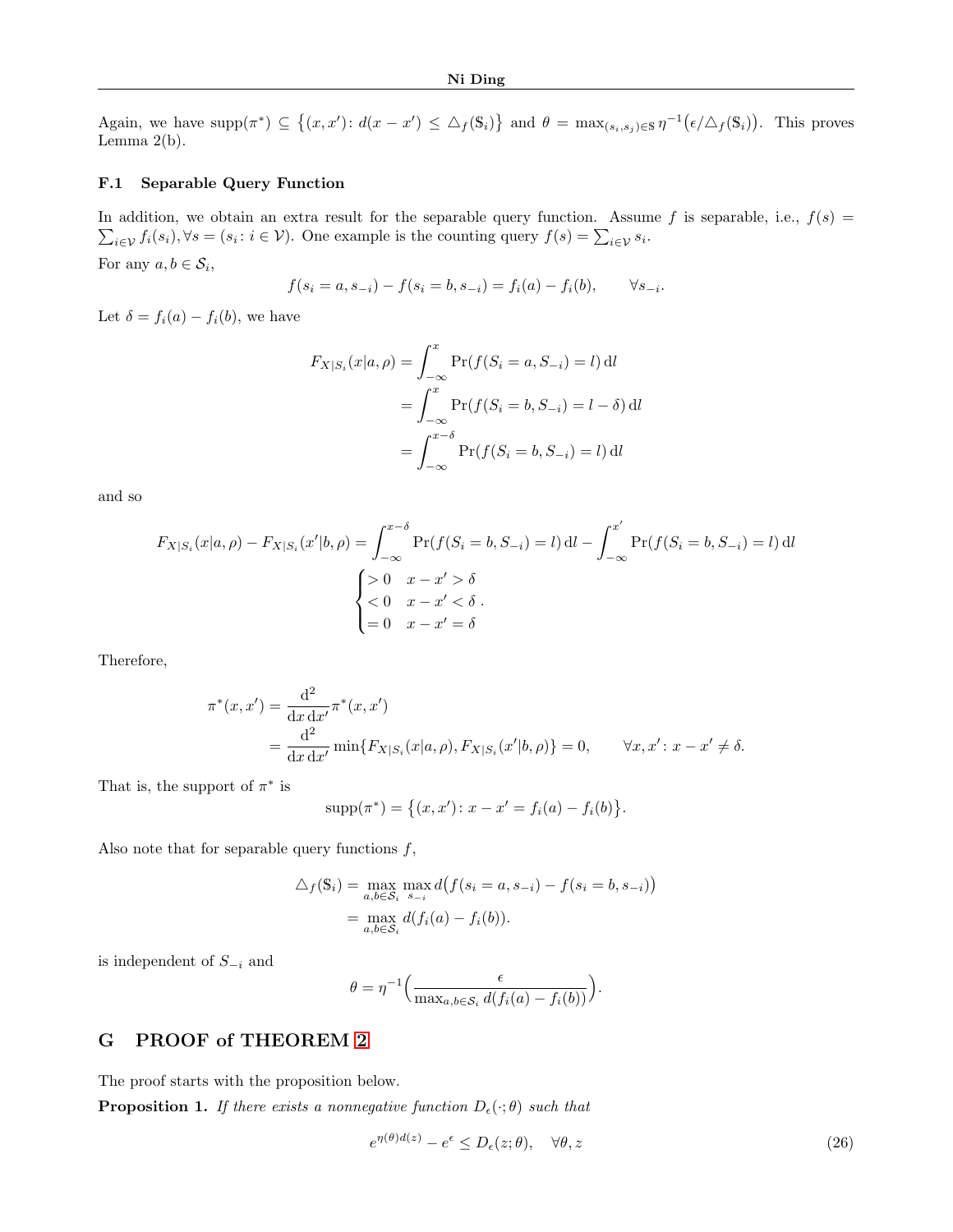Again, we have  $\text{supp}(\pi^*) \subseteq \{(x, x') : d(x - x') \leq \Delta_f(\mathbb{S}_i)\}\$ and  $\theta = \max_{(s_i, s_j) \in \mathbb{S}} \eta^{-1}(\epsilon/\Delta_f(\mathbb{S}_i))$ . This proves Lemma  $2(b)$ .

### F.1 Separable Query Function

In addition, we obtain an extra result for the separable query function. Assume f is separable, i.e.,  $f(s)$  =  $\sum_{i\in\mathcal{V}}f_i(s_i), \forall s=(s_i\colon i\in\mathcal{V})$ . One example is the counting query  $f(s)=\sum_{i\in\mathcal{V}}s_i$ . For any  $a, b \in S_i$ ,

$$
f(s_i = a, s_{-i}) - f(s_i = b, s_{-i}) = f_i(a) - f_i(b), \qquad \forall s_{-i}.
$$

Let  $\delta = f_i(a) - f_i(b)$ , we have

$$
F_{X|S_i}(x|a,\rho) = \int_{-\infty}^x \Pr(f(S_i = a, S_{-i}) = l) \, \mathrm{d}l
$$

$$
= \int_{-\infty}^x \Pr(f(S_i = b, S_{-i}) = l - \delta) \, \mathrm{d}l
$$

$$
= \int_{-\infty}^{x-\delta} \Pr(f(S_i = b, S_{-i}) = l) \, \mathrm{d}l
$$

and so

$$
F_{X|S_i}(x|a,\rho) - F_{X|S_i}(x'|b,\rho) = \int_{-\infty}^{x-\delta} \Pr(f(S_i = b, S_{-i}) = l) \, \mathrm{d}l - \int_{-\infty}^{x'} \Pr(f(S_i = b, S_{-i}) = l) \, \mathrm{d}l
$$
\n
$$
\begin{cases} > 0 & x - x' > \delta \\ < 0 & x - x' < \delta \\ < 0 & x - x' < \delta \\ < 0 & x - x' = \delta \end{cases}
$$

Therefore,

$$
\pi^*(x, x') = \frac{d^2}{dx dx'} \pi^*(x, x')
$$
  
= 
$$
\frac{d^2}{dx dx'} \min\{F_{X|S_i}(x|a, \rho), F_{X|S_i}(x'|b, \rho)\} = 0, \qquad \forall x, x' : x - x' \neq \delta.
$$

That is, the support of  $\pi^*$  is

$$
supp(\pi^*) = \{(x, x') : x - x' = f_i(a) - f_i(b)\}.
$$

Also note that for separable query functions  $f$ ,

$$
\Delta_f(\mathbf{S}_i) = \max_{a,b \in \mathcal{S}_i} \max_{s_{-i}} d(f(s_i = a, s_{-i}) - f(s_i = b, s_{-i}))
$$
  
= 
$$
\max_{a,b \in \mathcal{S}_i} d(f_i(a) - f_i(b)).
$$

is independent of  $S_{-i}$  and

$$
\theta = \eta^{-1} \Big( \frac{\epsilon}{\max_{a,b \in \mathcal{S}_i} d(f_i(a) - f_i(b))} \Big).
$$

### <span id="page-16-0"></span>G PROOF of THEOREM [2](#page-5-5)

The proof starts with the proposition below.

<span id="page-16-2"></span>**Proposition 1.** If there exists a nonnegative function  $D_{\epsilon}(\cdot;\theta)$  such that

<span id="page-16-1"></span>
$$
e^{\eta(\theta)d(z)} - e^{\epsilon} \le D_{\epsilon}(z;\theta), \quad \forall \theta, z \tag{26}
$$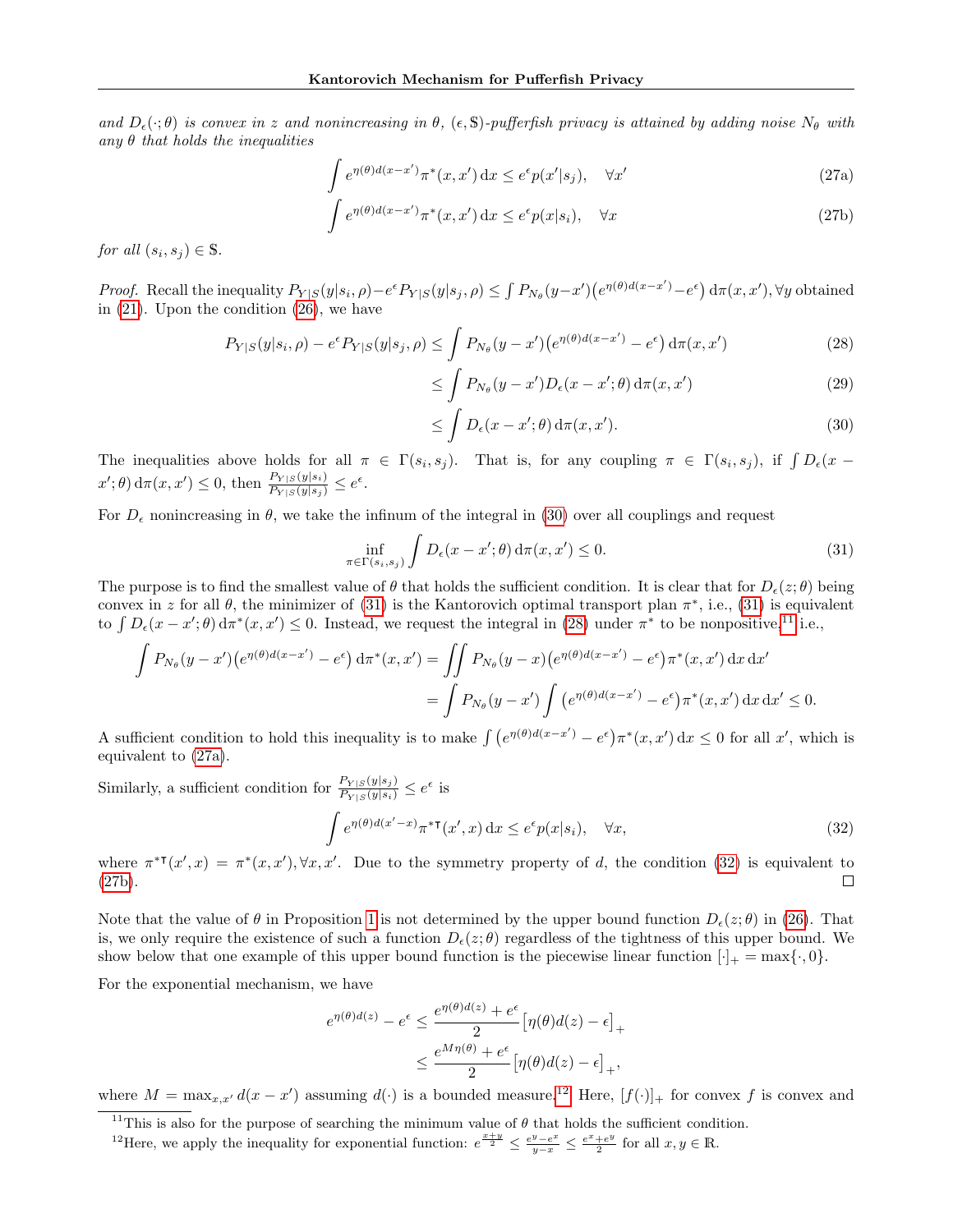and  $D_{\epsilon}(\cdot;\theta)$  is convex in z and nonincreasing in  $\theta$ , ( $\epsilon$ , S)-pufferfish privacy is attained by adding noise  $N_{\theta}$  with any  $\theta$  that holds the inequalities

$$
\int e^{\eta(\theta)d(x-x')} \pi^*(x,x') dx \le e^{\epsilon} p(x'|s_j), \quad \forall x'
$$
\n(27a)

$$
\int e^{\eta(\theta)d(x-x')} \pi^*(x,x') dx \le e^{\epsilon} p(x|s_i), \quad \forall x \tag{27b}
$$

for all  $(s_i, s_j) \in \mathbb{S}$ .

Proof. Recall the inequality  $P_{Y|S}(y|s_i, \rho) - e^{\epsilon}P_{Y|S}(y|s_j, \rho) \leq \int P_{N_{\theta}}(y-x')\left(e^{\eta(\theta)d(x-x')} - e^{\epsilon}\right)d\pi(x,x'), \forall y$  obtained in [\(21\)](#page-14-5). Upon the condition [\(26\)](#page-16-1), we have

$$
P_{Y|S}(y|s_i, \rho) - e^{\epsilon} P_{Y|S}(y|s_j, \rho) \le \int P_{N_{\theta}}(y - x') \left( e^{\eta(\theta)d(x - x')} - e^{\epsilon} \right) d\pi(x, x')
$$
(28)

<span id="page-17-6"></span><span id="page-17-4"></span><span id="page-17-2"></span>
$$
\leq \int P_{N_{\theta}}(y-x')D_{\epsilon}(x-x';\theta) d\pi(x,x') \tag{29}
$$

<span id="page-17-0"></span>
$$
\leq \int D_{\epsilon}(x - x'; \theta) d\pi(x, x'). \tag{30}
$$

The inequalities above holds for all  $\pi \in \Gamma(s_i, s_j)$ . That is, for any coupling  $\pi \in \Gamma(s_i, s_j)$ , if  $\int D_{\epsilon}(x (x';\theta) d\pi(x,x') \leq 0$ , then  $\frac{P_{Y|S}(y|s_i)}{P_{Y|S}(y|s_j)} \leq e^{\epsilon}.$ 

For  $D_{\epsilon}$  nonincreasing in  $\theta$ , we take the infinum of the integral in [\(30\)](#page-17-0) over all couplings and request

<span id="page-17-1"></span>
$$
\inf_{\pi \in \Gamma(s_i, s_j)} \int D_{\epsilon}(x - x'; \theta) d\pi(x, x') \le 0.
$$
\n(31)

The purpose is to find the smallest value of  $\theta$  that holds the sufficient condition. It is clear that for  $D_{\epsilon}(z;\theta)$  being convex in z for all  $\theta$ , the minimizer of [\(31\)](#page-17-1) is the Kantorovich optimal transport plan  $\pi^*$ , i.e., (31) is equivalent to  $\int D_{\epsilon}(x-x';\theta) d\pi^*(x,x') \leq 0$ . Instead, we request the integral in [\(28\)](#page-17-2) under  $\pi^*$  to be nonpositive,<sup>[11](#page-17-3)</sup> i.e.,

$$
\int P_{N_{\theta}}(y-x')\left(e^{\eta(\theta)d(x-x')}-e^{\epsilon}\right)d\pi^*(x,x') = \iint P_{N_{\theta}}(y-x)\left(e^{\eta(\theta)d(x-x')}-e^{\epsilon}\right)\pi^*(x,x')\,dx\,dx' \n= \int P_{N_{\theta}}(y-x')\int \left(e^{\eta(\theta)d(x-x')}-e^{\epsilon}\right)\pi^*(x,x')\,dx\,dx' \le 0.
$$

A sufficient condition to hold this inequality is to make  $\int (e^{\eta(\theta)d(x-x')} - e^{\epsilon}) \pi^*(x,x') dx \leq 0$  for all x', which is equivalent to [\(27a\)](#page-17-4).

Similarly, a sufficient condition for  $\frac{P_{Y|S}(y|s_j)}{P_{Y|S}(y|s_i)} \leq e^{\epsilon}$  is

<span id="page-17-5"></span>
$$
\int e^{\eta(\theta)d(x'-x)} \pi^{*T}(x',x) dx \le e^{\epsilon} p(x|s_i), \quad \forall x,
$$
\n(32)

where  $\pi^{*T}(x',x) = \pi^{*}(x,x'), \forall x,x'.$  Due to the symmetry property of d, the condition [\(32\)](#page-17-5) is equivalent to [\(27b\)](#page-17-6).  $\Box$ 

Note that the value of  $\theta$  in Proposition [1](#page-16-2) is not determined by the upper bound function  $D_{\epsilon}(z;\theta)$  in [\(26\)](#page-16-1). That is, we only require the existence of such a function  $D_{\epsilon}(z;\theta)$  regardless of the tightness of this upper bound. We show below that one example of this upper bound function is the piecewise linear function  $[\cdot]_+ = \max{\{\cdot, 0\}}$ .

For the exponential mechanism, we have

$$
e^{\eta(\theta)d(z)} - e^{\epsilon} \le \frac{e^{\eta(\theta)d(z)} + e^{\epsilon}}{2} \left[\eta(\theta)d(z) - \epsilon\right]_{+}
$$

$$
\le \frac{e^{M\eta(\theta)} + e^{\epsilon}}{2} \left[\eta(\theta)d(z) - \epsilon\right]_{+},
$$

where  $M = \max_{x,x'} d(x-x')$  assuming  $d(\cdot)$  is a bounded measure.<sup>[12](#page-17-7)</sup> Here,  $[f(\cdot)]_+$  for convex f is convex and

<span id="page-17-3"></span><sup>11</sup>This is also for the purpose of searching the minimum value of  $\theta$  that holds the sufficient condition.

<span id="page-17-7"></span><sup>&</sup>lt;sup>12</sup>Here, we apply the inequality for exponential function:  $e^{\frac{x+y}{2}} \leq \frac{e^y - e^x}{y-x} \leq \frac{e^x + e^y}{2}$  $\frac{+e^y}{2}$  for all  $x, y \in \mathbb{R}$ .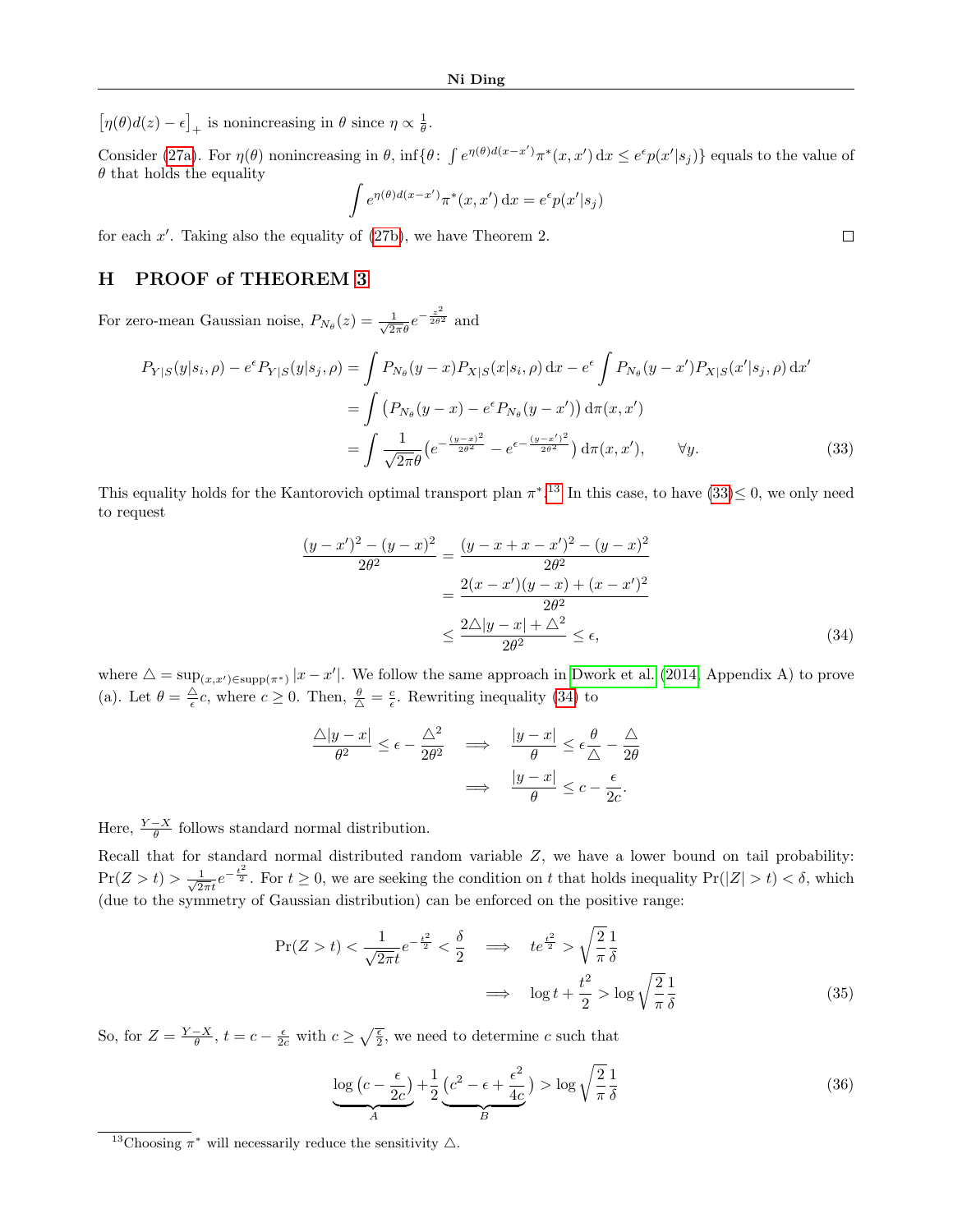$[\eta(\theta)d(z)-\epsilon]_+$  is nonincreasing in  $\theta$  since  $\eta \propto \frac{1}{\theta}$ .

Consider [\(27a\)](#page-17-4). For  $\eta(\theta)$  nonincreasing in  $\theta$ , inf{ $\theta$ :  $\int e^{\eta(\theta)d(x-x')} \pi^*(x,x') dx \leq e^{\epsilon} p(x'|s_j)$ } equals to the value of  $\theta$  that holds the equality

$$
\int e^{\eta(\theta)d(x-x')} \pi^*(x,x') \, dx = e^{\epsilon} p(x'|s_j)
$$

for each  $x'$ . Taking also the equality of  $(27b)$ , we have Theorem 2.

# <span id="page-18-0"></span>H PROOF of THEOREM [3](#page-7-3)

For zero-mean Gaussian noise,  $P_{N_{\theta}}(z) = \frac{1}{\sqrt{2\pi\theta}}e^{-\frac{z^2}{2\theta^2}}$  and

$$
P_{Y|S}(y|s_i, \rho) - e^{\epsilon} P_{Y|S}(y|s_j, \rho) = \int P_{N_{\theta}}(y-x) P_{X|S}(x|s_i, \rho) dx - e^{\epsilon} \int P_{N_{\theta}}(y-x') P_{X|S}(x'|s_j, \rho) dx'
$$
  
= 
$$
\int (P_{N_{\theta}}(y-x) - e^{\epsilon} P_{N_{\theta}}(y-x')) d\pi(x, x')
$$
  
= 
$$
\int \frac{1}{\sqrt{2\pi\theta}} \left( e^{-\frac{(y-x)^2}{2\theta^2}} - e^{\epsilon - \frac{(y-x')^2}{2\theta^2}} \right) d\pi(x, x'), \quad \forall y.
$$
 (33)

This equality holds for the Kantorovich optimal transport plan  $\pi^*$ .<sup>[13](#page-18-1)</sup> In this case, to have  $(33) \leq 0$ , we only need to request

$$
\frac{(y-x')^2 - (y-x)^2}{2\theta^2} = \frac{(y-x+x-x')^2 - (y-x)^2}{2\theta^2}
$$

$$
= \frac{2(x-x')(y-x) + (x-x')^2}{2\theta^2}
$$

$$
\leq \frac{2\triangle|y-x| + \triangle^2}{2\theta^2} \leq \epsilon,
$$
(34)

<span id="page-18-3"></span><span id="page-18-2"></span> $\Box$ 

where  $\Delta = \sup_{(x,x') \in \text{supp}(\pi^*)} |x - x'|$ . We follow the same approach in [Dwork et al. \(2014,](#page-9-0) Appendix A) to prove (a). Let  $\theta = \frac{\triangle}{\epsilon}c$ , where  $c \ge 0$ . Then,  $\frac{\theta}{\triangle} = \frac{c}{\epsilon}$ . Rewriting inequality [\(34\)](#page-18-3) to

$$
\frac{\triangle |y - x|}{\theta^2} \le \epsilon - \frac{\triangle^2}{2\theta^2} \quad \implies \quad \frac{|y - x|}{\theta} \le \epsilon \frac{\theta}{\triangle} - \frac{\triangle}{2\theta}
$$
\n
$$
\implies \quad \frac{|y - x|}{\theta} \le c - \frac{\epsilon}{2c}.
$$

Here,  $\frac{Y-X}{\theta}$  follows standard normal distribution.

Recall that for standard normal distributed random variable Z, we have a lower bound on tail probability:  $Pr(Z > t) > \frac{1}{\sqrt{2}}$  $\frac{1}{2\pi i}e^{-\frac{t^2}{2}}$ . For  $t \ge 0$ , we are seeking the condition on t that holds inequality  $Pr(|Z| > t) < \delta$ , which (due to the symmetry of Gaussian distribution) can be enforced on the positive range:

$$
\Pr(Z > t) < \frac{1}{\sqrt{2\pi}t}e^{-\frac{t^2}{2}} < \frac{\delta}{2} \quad \Longrightarrow \quad te^{\frac{t^2}{2}} > \sqrt{\frac{2}{\pi}}\frac{1}{\delta}
$$
\n
$$
\Longrightarrow \quad \log t + \frac{t^2}{2} > \log\sqrt{\frac{2}{\pi}}\frac{1}{\delta} \tag{35}
$$

So, for  $Z = \frac{Y - X}{\theta}$ ,  $t = c - \frac{\epsilon}{2c}$  with  $c \geq \sqrt{\frac{\epsilon}{2}}$ , we need to determine c such that

<span id="page-18-4"></span>
$$
\frac{\log\left(c - \frac{\epsilon}{2c}\right)}{A} + \frac{1}{2}\underbrace{\left(c^2 - \epsilon + \frac{\epsilon^2}{4c}\right)}_{B} > \log\sqrt{\frac{2}{\pi}}\frac{1}{\delta} \tag{36}
$$

<span id="page-18-1"></span><sup>&</sup>lt;sup>13</sup>Choosing  $\pi^*$  will necessarily reduce the sensitivity  $\triangle$ .